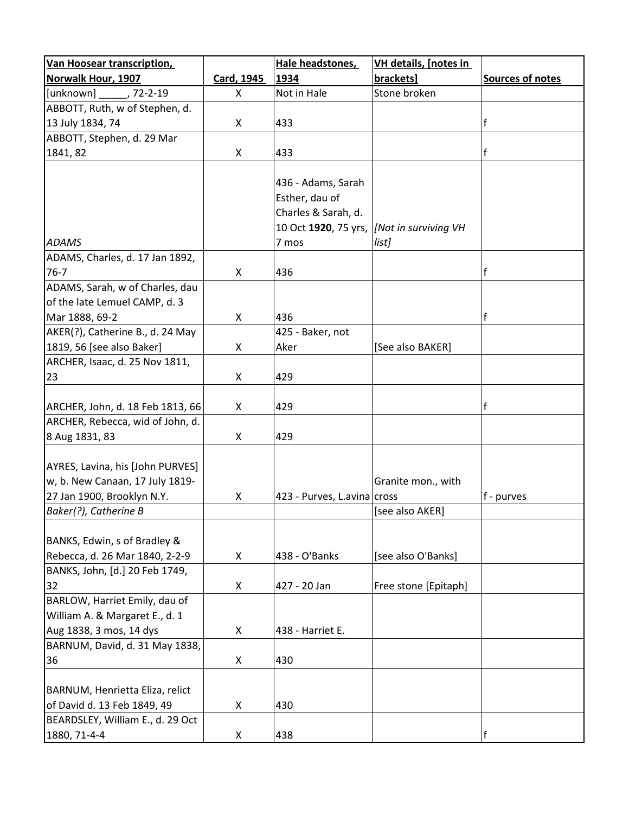| 1934<br><b>Sources of notes</b><br>Card, 1945<br>brackets]<br>, 72-2-19<br>Not in Hale<br>Stone broken<br>X<br>f<br>433<br>X<br>f<br>X<br>433<br>436 - Adams, Sarah<br>Esther, dau of<br>Charles & Sarah, d.<br>10 Oct 1920, 75 yrs,<br>[Not in surviving VH<br>7 mos<br>list]<br>f<br>X<br>436<br>of the late Lemuel CAMP, d. 3<br>f<br>Mar 1888, 69-2<br>436<br>X<br>AKER(?), Catherine B., d. 24 May<br>425 - Baker, not<br>1819, 56 [see also Baker]<br>Aker<br>[See also BAKER]<br>X<br>ARCHER, Isaac, d. 25 Nov 1811,<br>23<br>X<br>429<br>f<br>429<br>X<br>ARCHER, Rebecca, wid of John, d.<br>8 Aug 1831, 83<br>X<br>429<br>Granite mon., with<br>X<br>423 - Purves, L. avina cross<br>f - purves<br>[see also AKER]<br>438 - O'Banks<br>[see also O'Banks]<br>X<br>32<br>X<br>427 - 20 Jan<br>Free stone [Epitaph]<br>BARLOW, Harriet Emily, dau of<br>William A. & Margaret E., d. 1<br>Aug 1838, 3 mos, 14 dys<br>438 - Harriet E.<br>X<br>BARNUM, David, d. 31 May 1838,<br>36<br>X<br>430<br>X<br>430<br>BEARDSLEY, William E., d. 29 Oct<br>f | Van Hoosear transcription,                                                                                                 |   | Hale headstones, | VH details, [notes in |  |
|-------------------------------------------------------------------------------------------------------------------------------------------------------------------------------------------------------------------------------------------------------------------------------------------------------------------------------------------------------------------------------------------------------------------------------------------------------------------------------------------------------------------------------------------------------------------------------------------------------------------------------------------------------------------------------------------------------------------------------------------------------------------------------------------------------------------------------------------------------------------------------------------------------------------------------------------------------------------------------------------------------------------------------------------------------------|----------------------------------------------------------------------------------------------------------------------------|---|------------------|-----------------------|--|
|                                                                                                                                                                                                                                                                                                                                                                                                                                                                                                                                                                                                                                                                                                                                                                                                                                                                                                                                                                                                                                                             | Norwalk Hour, 1907                                                                                                         |   |                  |                       |  |
|                                                                                                                                                                                                                                                                                                                                                                                                                                                                                                                                                                                                                                                                                                                                                                                                                                                                                                                                                                                                                                                             | [unknown]                                                                                                                  |   |                  |                       |  |
|                                                                                                                                                                                                                                                                                                                                                                                                                                                                                                                                                                                                                                                                                                                                                                                                                                                                                                                                                                                                                                                             | ABBOTT, Ruth, w of Stephen, d.                                                                                             |   |                  |                       |  |
|                                                                                                                                                                                                                                                                                                                                                                                                                                                                                                                                                                                                                                                                                                                                                                                                                                                                                                                                                                                                                                                             | 13 July 1834, 74                                                                                                           |   |                  |                       |  |
|                                                                                                                                                                                                                                                                                                                                                                                                                                                                                                                                                                                                                                                                                                                                                                                                                                                                                                                                                                                                                                                             | ABBOTT, Stephen, d. 29 Mar                                                                                                 |   |                  |                       |  |
|                                                                                                                                                                                                                                                                                                                                                                                                                                                                                                                                                                                                                                                                                                                                                                                                                                                                                                                                                                                                                                                             | 1841, 82                                                                                                                   |   |                  |                       |  |
|                                                                                                                                                                                                                                                                                                                                                                                                                                                                                                                                                                                                                                                                                                                                                                                                                                                                                                                                                                                                                                                             | <b>ADAMS</b>                                                                                                               |   |                  |                       |  |
|                                                                                                                                                                                                                                                                                                                                                                                                                                                                                                                                                                                                                                                                                                                                                                                                                                                                                                                                                                                                                                                             | ADAMS, Charles, d. 17 Jan 1892,                                                                                            |   |                  |                       |  |
|                                                                                                                                                                                                                                                                                                                                                                                                                                                                                                                                                                                                                                                                                                                                                                                                                                                                                                                                                                                                                                                             | $76 - 7$                                                                                                                   |   |                  |                       |  |
|                                                                                                                                                                                                                                                                                                                                                                                                                                                                                                                                                                                                                                                                                                                                                                                                                                                                                                                                                                                                                                                             | ADAMS, Sarah, w of Charles, dau                                                                                            |   |                  |                       |  |
|                                                                                                                                                                                                                                                                                                                                                                                                                                                                                                                                                                                                                                                                                                                                                                                                                                                                                                                                                                                                                                                             |                                                                                                                            |   |                  |                       |  |
|                                                                                                                                                                                                                                                                                                                                                                                                                                                                                                                                                                                                                                                                                                                                                                                                                                                                                                                                                                                                                                                             |                                                                                                                            |   |                  |                       |  |
|                                                                                                                                                                                                                                                                                                                                                                                                                                                                                                                                                                                                                                                                                                                                                                                                                                                                                                                                                                                                                                                             |                                                                                                                            |   |                  |                       |  |
|                                                                                                                                                                                                                                                                                                                                                                                                                                                                                                                                                                                                                                                                                                                                                                                                                                                                                                                                                                                                                                                             |                                                                                                                            |   |                  |                       |  |
|                                                                                                                                                                                                                                                                                                                                                                                                                                                                                                                                                                                                                                                                                                                                                                                                                                                                                                                                                                                                                                                             |                                                                                                                            |   |                  |                       |  |
|                                                                                                                                                                                                                                                                                                                                                                                                                                                                                                                                                                                                                                                                                                                                                                                                                                                                                                                                                                                                                                                             |                                                                                                                            |   |                  |                       |  |
|                                                                                                                                                                                                                                                                                                                                                                                                                                                                                                                                                                                                                                                                                                                                                                                                                                                                                                                                                                                                                                                             | ARCHER, John, d. 18 Feb 1813, 66                                                                                           |   |                  |                       |  |
|                                                                                                                                                                                                                                                                                                                                                                                                                                                                                                                                                                                                                                                                                                                                                                                                                                                                                                                                                                                                                                                             |                                                                                                                            |   |                  |                       |  |
|                                                                                                                                                                                                                                                                                                                                                                                                                                                                                                                                                                                                                                                                                                                                                                                                                                                                                                                                                                                                                                                             | AYRES, Lavina, his [John PURVES]<br>w, b. New Canaan, 17 July 1819-<br>27 Jan 1900, Brooklyn N.Y.<br>Baker(?), Catherine B |   |                  |                       |  |
|                                                                                                                                                                                                                                                                                                                                                                                                                                                                                                                                                                                                                                                                                                                                                                                                                                                                                                                                                                                                                                                             | BANKS, Edwin, s of Bradley &                                                                                               |   |                  |                       |  |
|                                                                                                                                                                                                                                                                                                                                                                                                                                                                                                                                                                                                                                                                                                                                                                                                                                                                                                                                                                                                                                                             | Rebecca, d. 26 Mar 1840, 2-2-9                                                                                             |   |                  |                       |  |
|                                                                                                                                                                                                                                                                                                                                                                                                                                                                                                                                                                                                                                                                                                                                                                                                                                                                                                                                                                                                                                                             | BANKS, John, [d.] 20 Feb 1749,                                                                                             |   |                  |                       |  |
|                                                                                                                                                                                                                                                                                                                                                                                                                                                                                                                                                                                                                                                                                                                                                                                                                                                                                                                                                                                                                                                             |                                                                                                                            |   |                  |                       |  |
|                                                                                                                                                                                                                                                                                                                                                                                                                                                                                                                                                                                                                                                                                                                                                                                                                                                                                                                                                                                                                                                             |                                                                                                                            |   |                  |                       |  |
|                                                                                                                                                                                                                                                                                                                                                                                                                                                                                                                                                                                                                                                                                                                                                                                                                                                                                                                                                                                                                                                             |                                                                                                                            |   |                  |                       |  |
|                                                                                                                                                                                                                                                                                                                                                                                                                                                                                                                                                                                                                                                                                                                                                                                                                                                                                                                                                                                                                                                             |                                                                                                                            |   |                  |                       |  |
|                                                                                                                                                                                                                                                                                                                                                                                                                                                                                                                                                                                                                                                                                                                                                                                                                                                                                                                                                                                                                                                             |                                                                                                                            |   |                  |                       |  |
|                                                                                                                                                                                                                                                                                                                                                                                                                                                                                                                                                                                                                                                                                                                                                                                                                                                                                                                                                                                                                                                             | BARNUM, Henrietta Eliza, relict<br>of David d. 13 Feb 1849, 49                                                             |   |                  |                       |  |
|                                                                                                                                                                                                                                                                                                                                                                                                                                                                                                                                                                                                                                                                                                                                                                                                                                                                                                                                                                                                                                                             | 1880, 71-4-4                                                                                                               | X | 438              |                       |  |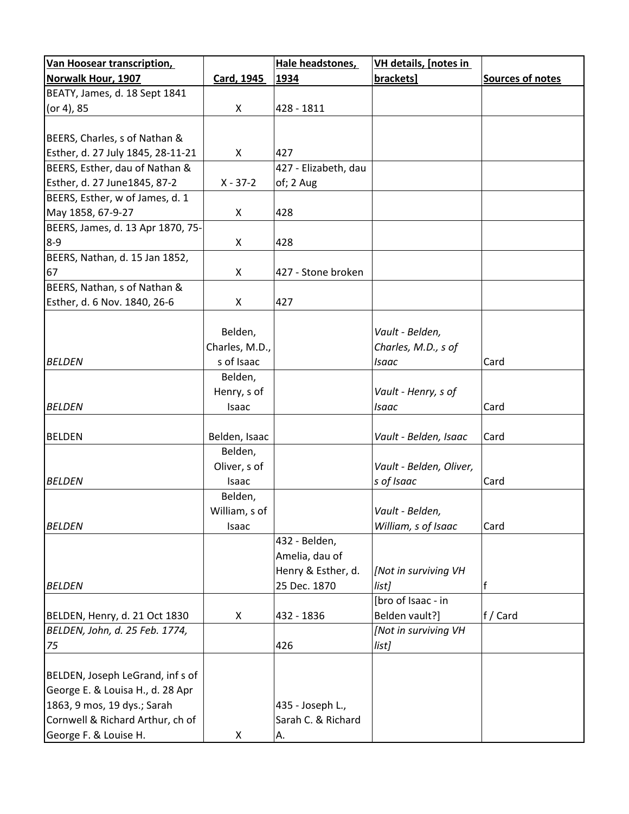| <b>Van Hoosear transcription,</b> |                | Hale headstones,     | VH details, [notes in   |                  |
|-----------------------------------|----------------|----------------------|-------------------------|------------------|
| <b>Norwalk Hour, 1907</b>         | Card, 1945     | 1934                 | brackets]               | Sources of notes |
| BEATY, James, d. 18 Sept 1841     |                |                      |                         |                  |
| (or 4), 85                        | X              | 428 - 1811           |                         |                  |
|                                   |                |                      |                         |                  |
| BEERS, Charles, s of Nathan &     |                |                      |                         |                  |
| Esther, d. 27 July 1845, 28-11-21 | X              | 427                  |                         |                  |
| BEERS, Esther, dau of Nathan &    |                | 427 - Elizabeth, dau |                         |                  |
| Esther, d. 27 June1845, 87-2      | $X - 37 - 2$   | of; 2 Aug            |                         |                  |
| BEERS, Esther, w of James, d. 1   |                |                      |                         |                  |
| May 1858, 67-9-27                 | X              | 428                  |                         |                  |
| BEERS, James, d. 13 Apr 1870, 75- |                |                      |                         |                  |
| $8 - 9$                           | X              | 428                  |                         |                  |
| BEERS, Nathan, d. 15 Jan 1852,    |                |                      |                         |                  |
| 67                                | X.             | 427 - Stone broken   |                         |                  |
| BEERS, Nathan, s of Nathan &      |                |                      |                         |                  |
| Esther, d. 6 Nov. 1840, 26-6      | X              | 427                  |                         |                  |
|                                   |                |                      |                         |                  |
|                                   | Belden,        |                      | Vault - Belden,         |                  |
|                                   | Charles, M.D., |                      | Charles, M.D., s of     |                  |
| <b>BELDEN</b>                     | s of Isaac     |                      | Isaac                   | Card             |
|                                   | Belden,        |                      |                         |                  |
|                                   | Henry, s of    |                      | Vault - Henry, s of     |                  |
| <b>BELDEN</b>                     | Isaac          |                      | Isaac                   | Card             |
|                                   |                |                      |                         |                  |
| <b>BELDEN</b>                     | Belden, Isaac  |                      | Vault - Belden, Isaac   | Card             |
|                                   | Belden,        |                      |                         |                  |
|                                   | Oliver, s of   |                      | Vault - Belden, Oliver, |                  |
| <b>BELDEN</b>                     | Isaac          |                      | s of Isaac              | Card             |
|                                   | Belden,        |                      |                         |                  |
|                                   | William, s of  |                      | Vault - Belden,         |                  |
| <b>BELDEN</b>                     | Isaac          |                      | William, s of Isaac     | Card             |
|                                   |                | 432 - Belden,        |                         |                  |
|                                   |                | Amelia, dau of       |                         |                  |
|                                   |                | Henry & Esther, d.   | [Not in surviving VH    |                  |
| <b>BELDEN</b>                     |                | 25 Dec. 1870         | list]                   |                  |
|                                   |                |                      | [bro of Isaac - in      |                  |
| BELDEN, Henry, d. 21 Oct 1830     | X              | 432 - 1836           | Belden vault?]          | f / Card         |
| BELDEN, John, d. 25 Feb. 1774,    |                |                      | [Not in surviving VH    |                  |
| 75                                |                | 426                  | list]                   |                  |
|                                   |                |                      |                         |                  |
| BELDEN, Joseph LeGrand, inf s of  |                |                      |                         |                  |
| George E. & Louisa H., d. 28 Apr  |                |                      |                         |                  |
| 1863, 9 mos, 19 dys.; Sarah       |                | 435 - Joseph L.,     |                         |                  |
| Cornwell & Richard Arthur, ch of  |                | Sarah C. & Richard   |                         |                  |
| George F. & Louise H.             | X              | А.                   |                         |                  |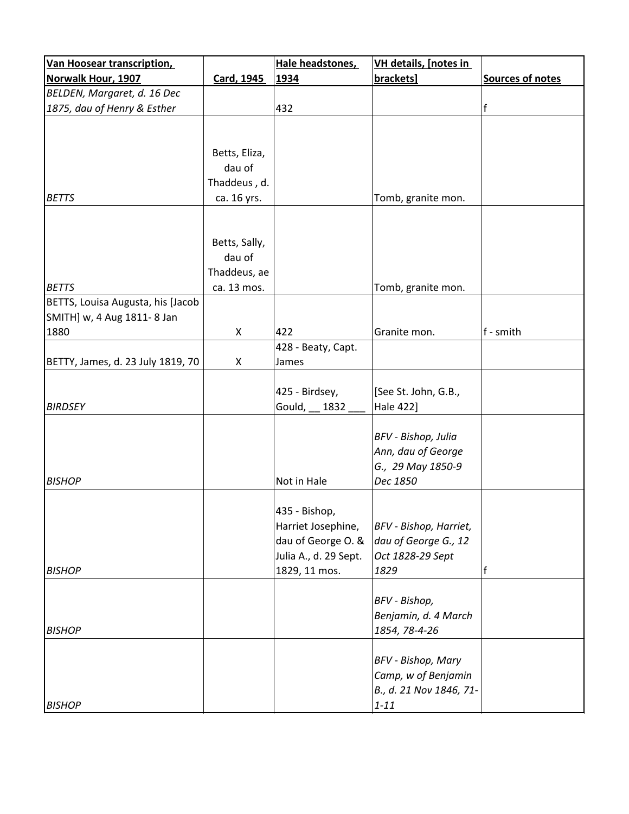| Van Hoosear transcription,        |               | Hale headstones,      | <b>VH details, [notes in</b> |                  |
|-----------------------------------|---------------|-----------------------|------------------------------|------------------|
| <b>Norwalk Hour, 1907</b>         | Card, 1945    | 1934                  | brackets]                    | Sources of notes |
| BELDEN, Margaret, d. 16 Dec       |               |                       |                              |                  |
| 1875, dau of Henry & Esther       |               | 432                   |                              | f                |
|                                   |               |                       |                              |                  |
|                                   |               |                       |                              |                  |
|                                   | Betts, Eliza, |                       |                              |                  |
|                                   | dau of        |                       |                              |                  |
|                                   | Thaddeus, d.  |                       |                              |                  |
| <b>BETTS</b>                      | ca. 16 yrs.   |                       | Tomb, granite mon.           |                  |
|                                   |               |                       |                              |                  |
|                                   |               |                       |                              |                  |
|                                   | Betts, Sally, |                       |                              |                  |
|                                   | dau of        |                       |                              |                  |
|                                   | Thaddeus, ae  |                       |                              |                  |
| <b>BETTS</b>                      | ca. 13 mos.   |                       | Tomb, granite mon.           |                  |
| BETTS, Louisa Augusta, his [Jacob |               |                       |                              |                  |
| SMITH] w, 4 Aug 1811-8 Jan        |               |                       |                              |                  |
| 1880                              | X             | 422                   | Granite mon.                 | f - smith        |
|                                   |               | 428 - Beaty, Capt.    |                              |                  |
| BETTY, James, d. 23 July 1819, 70 | X             | James                 |                              |                  |
|                                   |               |                       |                              |                  |
|                                   |               | 425 - Birdsey,        | [See St. John, G.B.,         |                  |
| <b>BIRDSEY</b>                    |               | Gould,<br>1832        | Hale 422]                    |                  |
|                                   |               |                       |                              |                  |
|                                   |               |                       | BFV - Bishop, Julia          |                  |
|                                   |               |                       | Ann, dau of George           |                  |
|                                   |               |                       | G., 29 May 1850-9            |                  |
| <b>BISHOP</b>                     |               | Not in Hale           | Dec 1850                     |                  |
|                                   |               |                       |                              |                  |
|                                   |               | 435 - Bishop,         |                              |                  |
|                                   |               | Harriet Josephine,    | BFV - Bishop, Harriet,       |                  |
|                                   |               | dau of George O. &    | dau of George G., 12         |                  |
|                                   |               | Julia A., d. 29 Sept. | Oct 1828-29 Sept             |                  |
| <b>BISHOP</b>                     |               | 1829, 11 mos.         | 1829                         | f                |
|                                   |               |                       |                              |                  |
|                                   |               |                       | BFV - Bishop,                |                  |
|                                   |               |                       | Benjamin, d. 4 March         |                  |
| <b>BISHOP</b>                     |               |                       | 1854, 78-4-26                |                  |
|                                   |               |                       |                              |                  |
|                                   |               |                       | <b>BFV</b> - Bishop, Mary    |                  |
|                                   |               |                       | Camp, w of Benjamin          |                  |
|                                   |               |                       | B., d. 21 Nov 1846, 71-      |                  |
| <b>BISHOP</b>                     |               |                       | $1 - 11$                     |                  |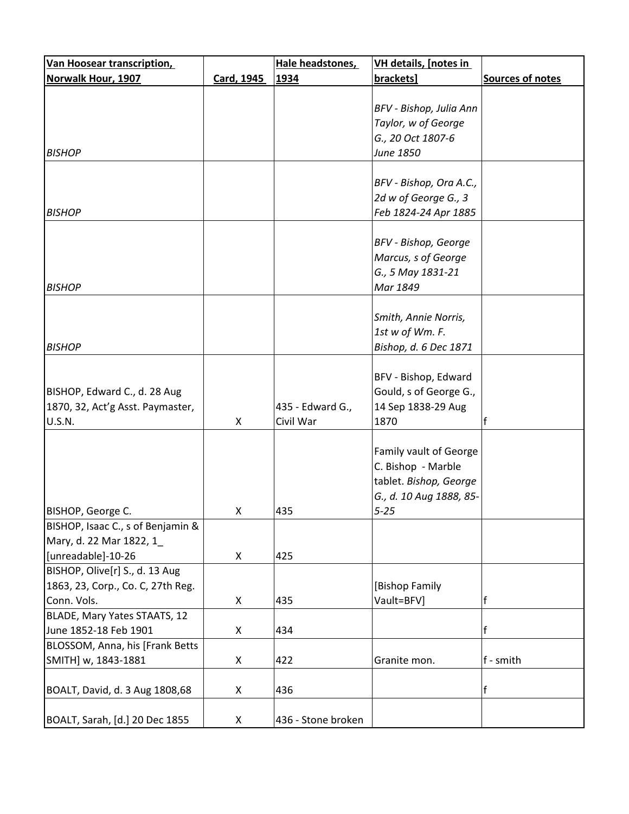| <b>Van Hoosear transcription,</b> |            | Hale headstones,   | <b>VH details, [notes in</b> |                  |
|-----------------------------------|------------|--------------------|------------------------------|------------------|
| Norwalk Hour, 1907                | Card, 1945 | 1934               | brackets]                    | Sources of notes |
|                                   |            |                    |                              |                  |
|                                   |            |                    | BFV - Bishop, Julia Ann      |                  |
|                                   |            |                    | Taylor, w of George          |                  |
|                                   |            |                    | G., 20 Oct 1807-6            |                  |
| <b>BISHOP</b>                     |            |                    | June 1850                    |                  |
|                                   |            |                    |                              |                  |
|                                   |            |                    | BFV - Bishop, Ora A.C.,      |                  |
|                                   |            |                    | 2d w of George G., 3         |                  |
| <b>BISHOP</b>                     |            |                    | Feb 1824-24 Apr 1885         |                  |
|                                   |            |                    |                              |                  |
|                                   |            |                    | BFV - Bishop, George         |                  |
|                                   |            |                    | Marcus, s of George          |                  |
|                                   |            |                    | G., 5 May 1831-21            |                  |
| <b>BISHOP</b>                     |            |                    | Mar 1849                     |                  |
|                                   |            |                    |                              |                  |
|                                   |            |                    | Smith, Annie Norris,         |                  |
|                                   |            |                    | 1st w of Wm. F.              |                  |
| <b>BISHOP</b>                     |            |                    | Bishop, d. 6 Dec 1871        |                  |
|                                   |            |                    |                              |                  |
|                                   |            |                    | BFV - Bishop, Edward         |                  |
| BISHOP, Edward C., d. 28 Aug      |            |                    | Gould, s of George G.,       |                  |
| 1870, 32, Act'g Asst. Paymaster,  |            | 435 - Edward G.,   | 14 Sep 1838-29 Aug           |                  |
| <b>U.S.N.</b>                     | X          | Civil War          | 1870                         | f                |
|                                   |            |                    |                              |                  |
|                                   |            |                    | Family vault of George       |                  |
|                                   |            |                    | C. Bishop - Marble           |                  |
|                                   |            |                    | tablet. Bishop, George       |                  |
|                                   |            |                    | G., d. 10 Aug 1888, 85-      |                  |
| BISHOP, George C.                 | Χ          | 435                | $5 - 25$                     |                  |
| BISHOP, Isaac C., s of Benjamin & |            |                    |                              |                  |
| Mary, d. 22 Mar 1822, 1           |            |                    |                              |                  |
| [unreadable]-10-26                | X          | 425                |                              |                  |
| BISHOP, Olive[r] S., d. 13 Aug    |            |                    |                              |                  |
| 1863, 23, Corp., Co. C, 27th Reg. |            |                    | [Bishop Family               |                  |
| Conn. Vols.                       | X          | 435                | Vault=BFV]                   | f                |
| BLADE, Mary Yates STAATS, 12      |            |                    |                              |                  |
| June 1852-18 Feb 1901             | X          | 434                |                              | f                |
| BLOSSOM, Anna, his [Frank Betts   |            |                    |                              |                  |
| SMITH] w, 1843-1881               | X          | 422                | Granite mon.                 | f - smith        |
|                                   |            |                    |                              |                  |
| BOALT, David, d. 3 Aug 1808,68    | Χ          | 436                |                              | f                |
|                                   |            |                    |                              |                  |
| BOALT, Sarah, [d.] 20 Dec 1855    | Χ          | 436 - Stone broken |                              |                  |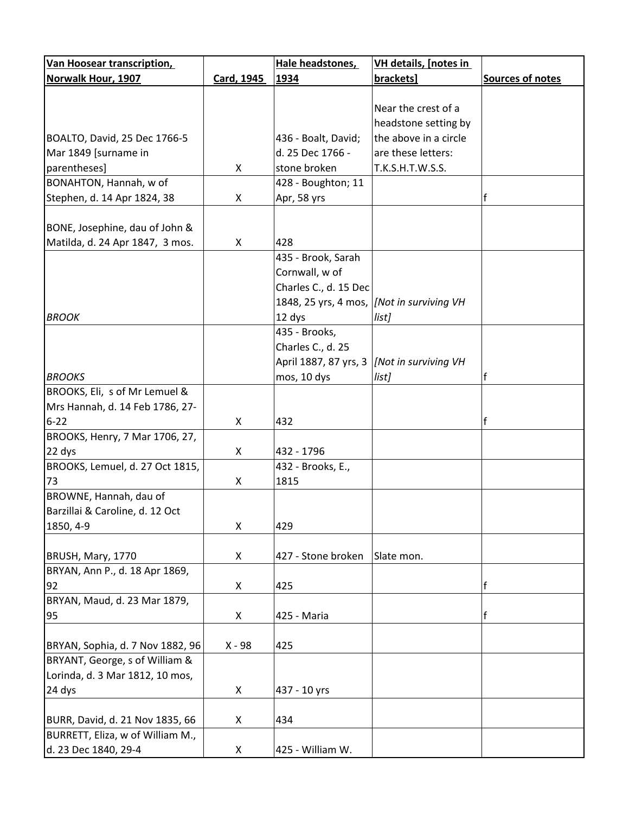| <b>Van Hoosear transcription,</b> |            | Hale headstones,      | <b>VH details, [notes in</b> |                  |
|-----------------------------------|------------|-----------------------|------------------------------|------------------|
| <b>Norwalk Hour, 1907</b>         | Card, 1945 | 1934                  | brackets]                    | Sources of notes |
|                                   |            |                       |                              |                  |
|                                   |            |                       | Near the crest of a          |                  |
|                                   |            |                       | headstone setting by         |                  |
| BOALTO, David, 25 Dec 1766-5      |            | 436 - Boalt, David;   | the above in a circle        |                  |
| Mar 1849 [surname in              |            | d. 25 Dec 1766 -      | are these letters:           |                  |
| parentheses]                      | X          | stone broken          | T.K.S.H.T.W.S.S.             |                  |
| BONAHTON, Hannah, w of            |            | 428 - Boughton; 11    |                              |                  |
| Stephen, d. 14 Apr 1824, 38       | X          | Apr, 58 yrs           |                              |                  |
|                                   |            |                       |                              |                  |
| BONE, Josephine, dau of John &    |            |                       |                              |                  |
| Matilda, d. 24 Apr 1847, 3 mos.   | X          | 428                   |                              |                  |
|                                   |            | 435 - Brook, Sarah    |                              |                  |
|                                   |            | Cornwall, w of        |                              |                  |
|                                   |            | Charles C., d. 15 Dec |                              |                  |
|                                   |            | 1848, 25 yrs, 4 mos,  | [Not in surviving VH         |                  |
| <b>BROOK</b>                      |            | 12 dys                | list]                        |                  |
|                                   |            | 435 - Brooks,         |                              |                  |
|                                   |            | Charles C., d. 25     |                              |                  |
|                                   |            | April 1887, 87 yrs, 3 | [Not in surviving VH         |                  |
| <b>BROOKS</b>                     |            | mos, 10 dys           | list]                        | f                |
| BROOKS, Eli, s of Mr Lemuel &     |            |                       |                              |                  |
| Mrs Hannah, d. 14 Feb 1786, 27-   |            |                       |                              |                  |
| $6 - 22$                          | X          | 432                   |                              | f                |
| BROOKS, Henry, 7 Mar 1706, 27,    |            |                       |                              |                  |
| 22 dys                            | X          | 432 - 1796            |                              |                  |
| BROOKS, Lemuel, d. 27 Oct 1815,   |            | 432 - Brooks, E.,     |                              |                  |
| 73                                | X          | 1815                  |                              |                  |
| BROWNE, Hannah, dau of            |            |                       |                              |                  |
| Barzillai & Caroline, d. 12 Oct   |            |                       |                              |                  |
| 1850, 4-9                         | X          | 429                   |                              |                  |
|                                   |            |                       |                              |                  |
| BRUSH, Mary, 1770                 | X          | 427 - Stone broken    | Slate mon.                   |                  |
| BRYAN, Ann P., d. 18 Apr 1869,    |            |                       |                              |                  |
| 92                                | X          | 425                   |                              | $\mathsf{f}$     |
| BRYAN, Maud, d. 23 Mar 1879,      |            |                       |                              |                  |
| 95                                | X          | 425 - Maria           |                              | $\mathbf{f}$     |
|                                   |            |                       |                              |                  |
| BRYAN, Sophia, d. 7 Nov 1882, 96  | $X - 98$   | 425                   |                              |                  |
| BRYANT, George, s of William &    |            |                       |                              |                  |
| Lorinda, d. 3 Mar 1812, 10 mos,   |            |                       |                              |                  |
| 24 dys                            | X          | 437 - 10 yrs          |                              |                  |
|                                   |            |                       |                              |                  |
| BURR, David, d. 21 Nov 1835, 66   | X          | 434                   |                              |                  |
| BURRETT, Eliza, w of William M.,  |            |                       |                              |                  |
| d. 23 Dec 1840, 29-4              | X          | 425 - William W.      |                              |                  |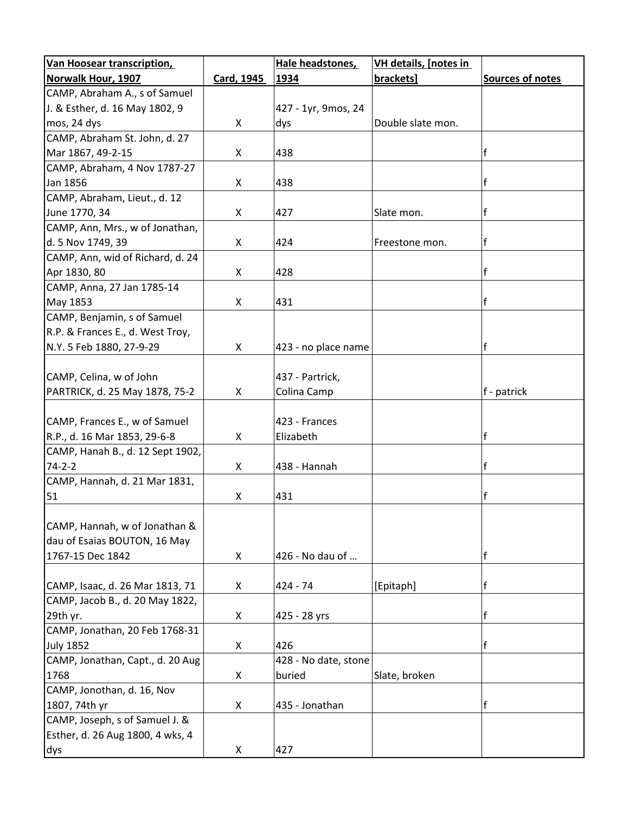| <b>Van Hoosear transcription,</b> |            | Hale headstones,     | <b>VH details, [notes in</b> |                  |
|-----------------------------------|------------|----------------------|------------------------------|------------------|
| Norwalk Hour, 1907                | Card, 1945 | 1934                 | brackets]                    | Sources of notes |
| CAMP, Abraham A., s of Samuel     |            |                      |                              |                  |
| J. & Esther, d. 16 May 1802, 9    |            | 427 - 1yr, 9mos, 24  |                              |                  |
| mos, 24 dys                       | X          | dys                  | Double slate mon.            |                  |
| CAMP, Abraham St. John, d. 27     |            |                      |                              |                  |
| Mar 1867, 49-2-15                 | X          | 438                  |                              | f                |
| CAMP, Abraham, 4 Nov 1787-27      |            |                      |                              |                  |
| Jan 1856                          | X          | 438                  |                              | f                |
| CAMP, Abraham, Lieut., d. 12      |            |                      |                              |                  |
| June 1770, 34                     | X          | 427                  | Slate mon.                   | f                |
| CAMP, Ann, Mrs., w of Jonathan,   |            |                      |                              |                  |
| d. 5 Nov 1749, 39                 | X          | 424                  | Freestone mon.               | f                |
| CAMP, Ann, wid of Richard, d. 24  |            |                      |                              |                  |
| Apr 1830, 80                      | X          | 428                  |                              | f                |
| CAMP, Anna, 27 Jan 1785-14        |            |                      |                              |                  |
| May 1853                          | X          | 431                  |                              | f                |
| CAMP, Benjamin, s of Samuel       |            |                      |                              |                  |
| R.P. & Frances E., d. West Troy,  |            |                      |                              |                  |
| N.Y. 5 Feb 1880, 27-9-29          | X          | 423 - no place name  |                              | f                |
|                                   |            |                      |                              |                  |
| CAMP, Celina, w of John           |            | 437 - Partrick,      |                              |                  |
| PARTRICK, d. 25 May 1878, 75-2    | X          | Colina Camp          |                              | f - patrick      |
|                                   |            |                      |                              |                  |
| CAMP, Frances E., w of Samuel     |            | 423 - Frances        |                              |                  |
| R.P., d. 16 Mar 1853, 29-6-8      | X          | Elizabeth            |                              | f                |
| CAMP, Hanah B., d. 12 Sept 1902,  |            |                      |                              |                  |
| $74 - 2 - 2$                      | X          | 438 - Hannah         |                              | f                |
| CAMP, Hannah, d. 21 Mar 1831,     |            |                      |                              |                  |
| 51                                | X          | 431                  |                              | f                |
|                                   |            |                      |                              |                  |
| CAMP, Hannah, w of Jonathan &     |            |                      |                              |                  |
| dau of Esaias BOUTON, 16 May      |            |                      |                              |                  |
| 1767-15 Dec 1842                  | X          | 426 - No dau of      |                              | f                |
|                                   |            |                      |                              |                  |
| CAMP, Isaac, d. 26 Mar 1813, 71   | X          | $424 - 74$           | [Epitaph]                    | f                |
| CAMP, Jacob B., d. 20 May 1822,   |            |                      |                              |                  |
| 29th yr.                          | X          | 425 - 28 yrs         |                              | $\mathbf{f}$     |
| CAMP, Jonathan, 20 Feb 1768-31    |            | 426                  |                              | f                |
| <b>July 1852</b>                  | X          |                      |                              |                  |
| CAMP, Jonathan, Capt., d. 20 Aug  |            | 428 - No date, stone |                              |                  |
| 1768                              | X          | buried               | Slate, broken                |                  |
| CAMP, Jonothan, d. 16, Nov        |            |                      |                              | $\mathsf{f}$     |
| 1807, 74th yr                     | X          | 435 - Jonathan       |                              |                  |
| CAMP, Joseph, s of Samuel J. &    |            |                      |                              |                  |
| Esther, d. 26 Aug 1800, 4 wks, 4  |            |                      |                              |                  |
| dys                               | X          | 427                  |                              |                  |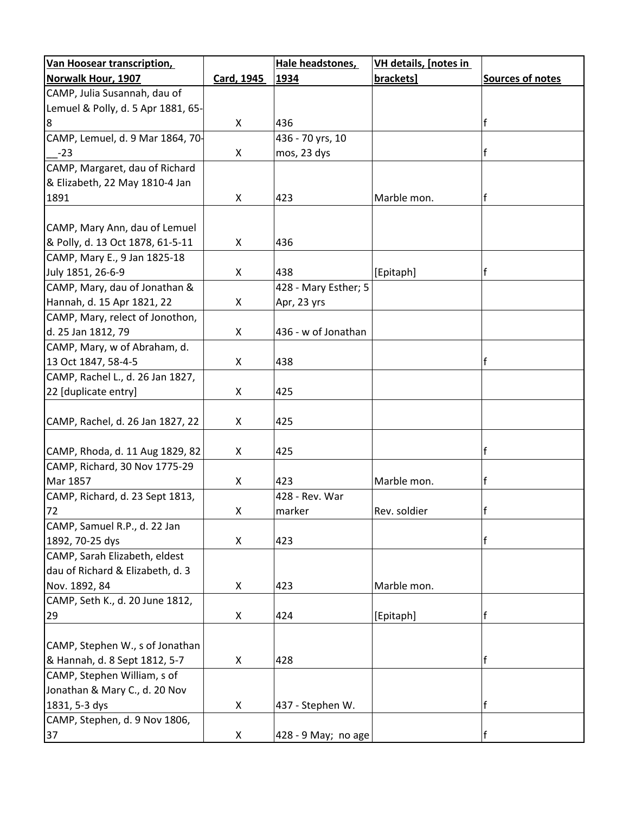| <b>Van Hoosear transcription,</b>  |            | Hale headstones,     | VH details, [notes in |                  |
|------------------------------------|------------|----------------------|-----------------------|------------------|
| Norwalk Hour, 1907                 | Card, 1945 | 1934                 | brackets]             | Sources of notes |
| CAMP, Julia Susannah, dau of       |            |                      |                       |                  |
| Lemuel & Polly, d. 5 Apr 1881, 65- |            |                      |                       |                  |
| 8                                  | X          | 436                  |                       |                  |
| CAMP, Lemuel, d. 9 Mar 1864, 70-   |            | 436 - 70 yrs, 10     |                       |                  |
| $-23$                              | X          | mos, 23 dys          |                       |                  |
| CAMP, Margaret, dau of Richard     |            |                      |                       |                  |
| & Elizabeth, 22 May 1810-4 Jan     |            |                      |                       |                  |
| 1891                               | X          | 423                  | Marble mon.           |                  |
|                                    |            |                      |                       |                  |
| CAMP, Mary Ann, dau of Lemuel      |            |                      |                       |                  |
| & Polly, d. 13 Oct 1878, 61-5-11   | X          | 436                  |                       |                  |
| CAMP, Mary E., 9 Jan 1825-18       |            |                      |                       |                  |
| July 1851, 26-6-9                  | X          | 438                  | [Epitaph]             |                  |
| CAMP, Mary, dau of Jonathan &      |            | 428 - Mary Esther; 5 |                       |                  |
| Hannah, d. 15 Apr 1821, 22         | X          | Apr, 23 yrs          |                       |                  |
| CAMP, Mary, relect of Jonothon,    |            |                      |                       |                  |
| d. 25 Jan 1812, 79                 | X          | 436 - w of Jonathan  |                       |                  |
| CAMP, Mary, w of Abraham, d.       |            |                      |                       |                  |
| 13 Oct 1847, 58-4-5                | X          | 438                  |                       |                  |
| CAMP, Rachel L., d. 26 Jan 1827,   |            |                      |                       |                  |
| 22 [duplicate entry]               | X          | 425                  |                       |                  |
|                                    |            |                      |                       |                  |
| CAMP, Rachel, d. 26 Jan 1827, 22   | X          | 425                  |                       |                  |
|                                    |            |                      |                       |                  |
| CAMP, Rhoda, d. 11 Aug 1829, 82    | X          | 425                  |                       | f                |
| CAMP, Richard, 30 Nov 1775-29      |            |                      |                       |                  |
| Mar 1857                           | X          | 423                  | Marble mon.           |                  |
| CAMP, Richard, d. 23 Sept 1813,    |            | 428 - Rev. War       |                       |                  |
| 72                                 | X          | $ $ marker           | Rev. soldier          | $\mathsf{f}$     |
| CAMP, Samuel R.P., d. 22 Jan       |            |                      |                       |                  |
| 1892, 70-25 dys                    | X          | 423                  |                       | f                |
| CAMP, Sarah Elizabeth, eldest      |            |                      |                       |                  |
| dau of Richard & Elizabeth, d. 3   |            |                      |                       |                  |
| Nov. 1892, 84                      | X          | 423                  | Marble mon.           |                  |
| CAMP, Seth K., d. 20 June 1812,    |            |                      |                       |                  |
| 29                                 | X          | 424                  | [Epitaph]             | f                |
|                                    |            |                      |                       |                  |
| CAMP, Stephen W., s of Jonathan    |            |                      |                       |                  |
| & Hannah, d. 8 Sept 1812, 5-7      | X          | 428                  |                       | f                |
| CAMP, Stephen William, s of        |            |                      |                       |                  |
| Jonathan & Mary C., d. 20 Nov      |            |                      |                       |                  |
| 1831, 5-3 dys                      | X          | 437 - Stephen W.     |                       | f                |
| CAMP, Stephen, d. 9 Nov 1806,      |            |                      |                       |                  |
| 37                                 | X          | 428 - 9 May; no age  |                       |                  |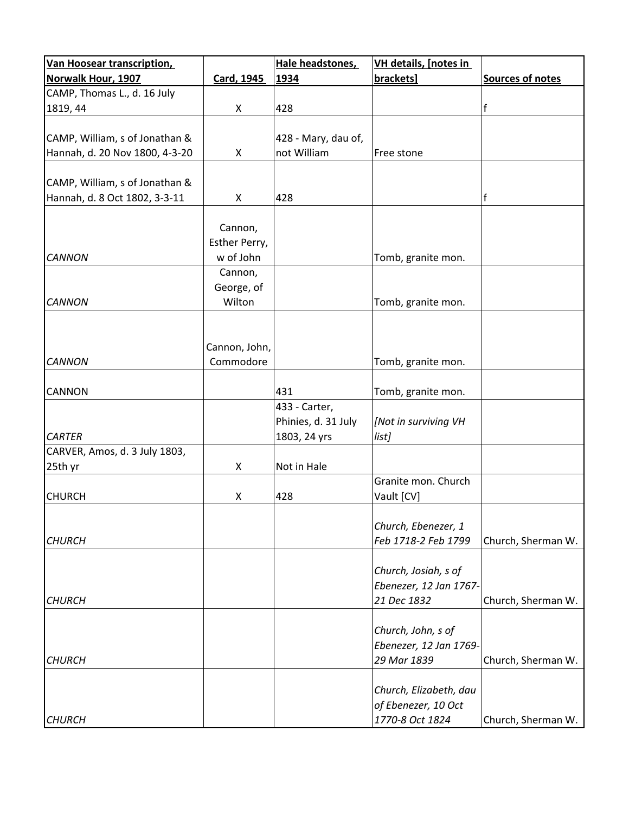| <b>Van Hoosear transcription,</b> |               | Hale headstones,    | VH details, [notes in  |                         |
|-----------------------------------|---------------|---------------------|------------------------|-------------------------|
| Norwalk Hour, 1907                | Card, 1945    | 1934                | brackets]              | <b>Sources of notes</b> |
| CAMP, Thomas L., d. 16 July       |               |                     |                        |                         |
| 1819, 44                          | X             | 428                 |                        | $\mathsf f$             |
|                                   |               |                     |                        |                         |
| CAMP, William, s of Jonathan &    |               | 428 - Mary, dau of, |                        |                         |
| Hannah, d. 20 Nov 1800, 4-3-20    | X             | not William         | Free stone             |                         |
|                                   |               |                     |                        |                         |
| CAMP, William, s of Jonathan &    |               |                     |                        |                         |
| Hannah, d. 8 Oct 1802, 3-3-11     | X             | 428                 |                        | $\mathbf{f}$            |
|                                   |               |                     |                        |                         |
|                                   | Cannon,       |                     |                        |                         |
|                                   | Esther Perry, |                     |                        |                         |
| <b>CANNON</b>                     | w of John     |                     | Tomb, granite mon.     |                         |
|                                   | Cannon,       |                     |                        |                         |
|                                   | George, of    |                     |                        |                         |
| <b>CANNON</b>                     | Wilton        |                     | Tomb, granite mon.     |                         |
|                                   |               |                     |                        |                         |
|                                   |               |                     |                        |                         |
|                                   | Cannon, John, |                     |                        |                         |
| <b>CANNON</b>                     | Commodore     |                     | Tomb, granite mon.     |                         |
|                                   |               |                     |                        |                         |
| <b>CANNON</b>                     |               | 431                 | Tomb, granite mon.     |                         |
|                                   |               | 433 - Carter,       |                        |                         |
|                                   |               | Phinies, d. 31 July | [Not in surviving VH   |                         |
| <b>CARTER</b>                     |               | 1803, 24 yrs        | list]                  |                         |
| CARVER, Amos, d. 3 July 1803,     |               |                     |                        |                         |
| 25th yr                           | X             | Not in Hale         |                        |                         |
|                                   |               |                     | Granite mon. Church    |                         |
| <b>CHURCH</b>                     | X             | 428                 | Vault [CV]             |                         |
|                                   |               |                     |                        |                         |
|                                   |               |                     | Church, Ebenezer, 1    |                         |
| <b>CHURCH</b>                     |               |                     | Feb 1718-2 Feb 1799    | Church, Sherman W.      |
|                                   |               |                     |                        |                         |
|                                   |               |                     | Church, Josiah, s of   |                         |
|                                   |               |                     | Ebenezer, 12 Jan 1767- |                         |
| <b>CHURCH</b>                     |               |                     | 21 Dec 1832            | Church, Sherman W.      |
|                                   |               |                     |                        |                         |
|                                   |               |                     | Church, John, s of     |                         |
|                                   |               |                     | Ebenezer, 12 Jan 1769- |                         |
| <b>CHURCH</b>                     |               |                     | 29 Mar 1839            | Church, Sherman W.      |
|                                   |               |                     |                        |                         |
|                                   |               |                     | Church, Elizabeth, dau |                         |
|                                   |               |                     | of Ebenezer, 10 Oct    |                         |
| <b>CHURCH</b>                     |               |                     | 1770-8 Oct 1824        | Church, Sherman W.      |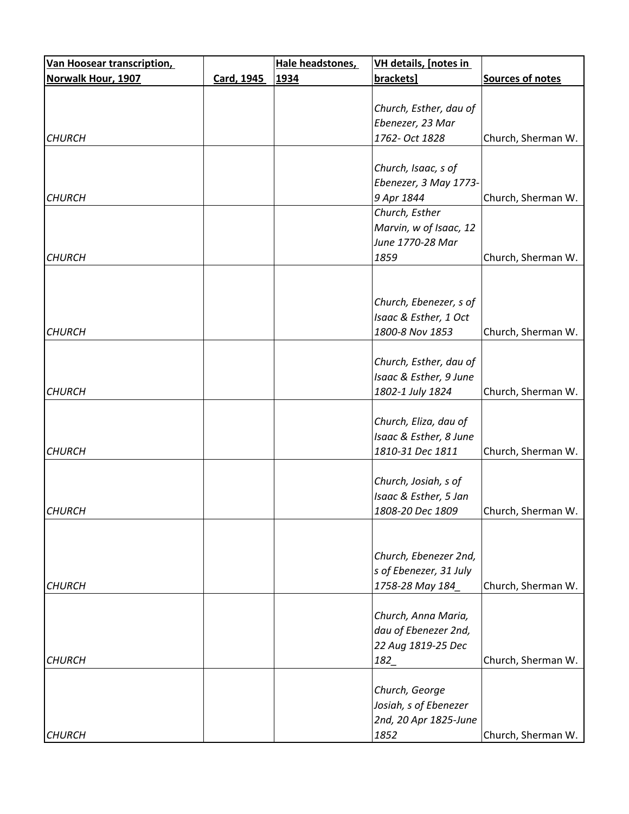| <b>Van Hoosear transcription,</b> |            | Hale headstones, | VH details, [notes in  |                    |
|-----------------------------------|------------|------------------|------------------------|--------------------|
| Norwalk Hour, 1907                | Card, 1945 | 1934             | brackets]              | Sources of notes   |
|                                   |            |                  |                        |                    |
|                                   |            |                  | Church, Esther, dau of |                    |
|                                   |            |                  | Ebenezer, 23 Mar       |                    |
| <b>CHURCH</b>                     |            |                  | 1762- Oct 1828         | Church, Sherman W. |
|                                   |            |                  |                        |                    |
|                                   |            |                  | Church, Isaac, s of    |                    |
|                                   |            |                  | Ebenezer, 3 May 1773-  |                    |
| <b>CHURCH</b>                     |            |                  | 9 Apr 1844             | Church, Sherman W. |
|                                   |            |                  | Church, Esther         |                    |
|                                   |            |                  | Marvin, w of Isaac, 12 |                    |
|                                   |            |                  | June 1770-28 Mar       |                    |
| <b>CHURCH</b>                     |            |                  | 1859                   | Church, Sherman W. |
|                                   |            |                  |                        |                    |
|                                   |            |                  |                        |                    |
|                                   |            |                  | Church, Ebenezer, s of |                    |
|                                   |            |                  | Isaac & Esther, 1 Oct  |                    |
| <b>CHURCH</b>                     |            |                  | 1800-8 Nov 1853        | Church, Sherman W. |
|                                   |            |                  |                        |                    |
|                                   |            |                  | Church, Esther, dau of |                    |
|                                   |            |                  | Isaac & Esther, 9 June |                    |
| <b>CHURCH</b>                     |            |                  | 1802-1 July 1824       | Church, Sherman W. |
|                                   |            |                  |                        |                    |
|                                   |            |                  | Church, Eliza, dau of  |                    |
|                                   |            |                  | Isaac & Esther, 8 June |                    |
| <b>CHURCH</b>                     |            |                  | 1810-31 Dec 1811       | Church, Sherman W. |
|                                   |            |                  |                        |                    |
|                                   |            |                  | Church, Josiah, s of   |                    |
|                                   |            |                  | Isaac & Esther, 5 Jan  |                    |
| <b>CHURCH</b>                     |            |                  | 1808-20 Dec 1809       | Church, Sherman W. |
|                                   |            |                  |                        |                    |
|                                   |            |                  |                        |                    |
|                                   |            |                  | Church, Ebenezer 2nd,  |                    |
|                                   |            |                  | s of Ebenezer, 31 July |                    |
| <b>CHURCH</b>                     |            |                  | 1758-28 May 184        | Church, Sherman W. |
|                                   |            |                  |                        |                    |
|                                   |            |                  | Church, Anna Maria,    |                    |
|                                   |            |                  | dau of Ebenezer 2nd,   |                    |
|                                   |            |                  | 22 Aug 1819-25 Dec     |                    |
|                                   |            |                  |                        |                    |
| <b>CHURCH</b>                     |            |                  | 182_                   | Church, Sherman W. |
|                                   |            |                  |                        |                    |
|                                   |            |                  | Church, George         |                    |
|                                   |            |                  | Josiah, s of Ebenezer  |                    |
|                                   |            |                  | 2nd, 20 Apr 1825-June  |                    |
| <b>CHURCH</b>                     |            |                  | 1852                   | Church, Sherman W. |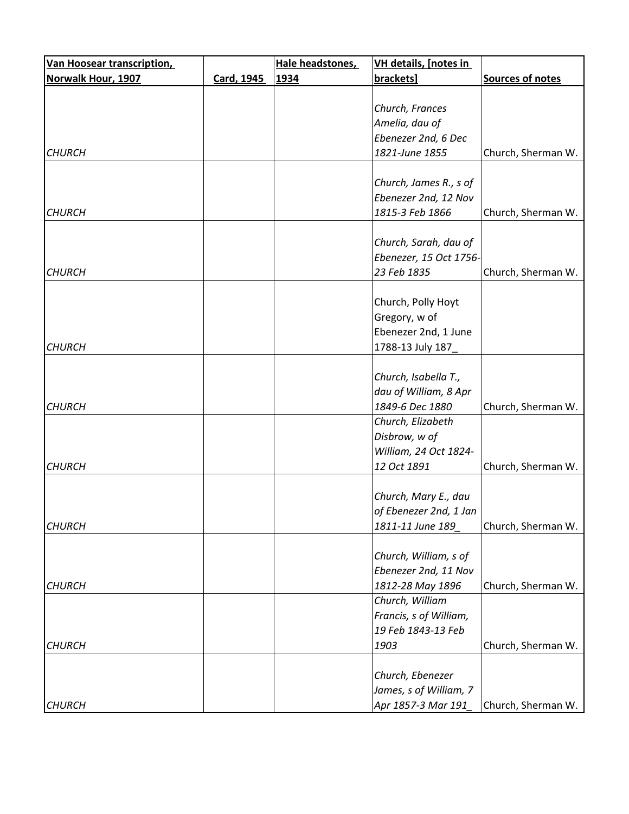| <b>Van Hoosear transcription,</b> |            | Hale headstones, | <b>VH details, [notes in</b> |                    |
|-----------------------------------|------------|------------------|------------------------------|--------------------|
| <b>Norwalk Hour, 1907</b>         | Card, 1945 | 1934             | brackets]                    | Sources of notes   |
|                                   |            |                  |                              |                    |
|                                   |            |                  | Church, Frances              |                    |
|                                   |            |                  | Amelia, dau of               |                    |
|                                   |            |                  | Ebenezer 2nd, 6 Dec          |                    |
| <b>CHURCH</b>                     |            |                  | 1821-June 1855               | Church, Sherman W. |
|                                   |            |                  |                              |                    |
|                                   |            |                  | Church, James R., s of       |                    |
|                                   |            |                  | Ebenezer 2nd, 12 Nov         |                    |
| <b>CHURCH</b>                     |            |                  | 1815-3 Feb 1866              | Church, Sherman W. |
|                                   |            |                  | Church, Sarah, dau of        |                    |
|                                   |            |                  | Ebenezer, 15 Oct 1756-       |                    |
| <b>CHURCH</b>                     |            |                  | 23 Feb 1835                  | Church, Sherman W. |
|                                   |            |                  |                              |                    |
|                                   |            |                  | Church, Polly Hoyt           |                    |
|                                   |            |                  | Gregory, w of                |                    |
|                                   |            |                  | Ebenezer 2nd, 1 June         |                    |
| <b>CHURCH</b>                     |            |                  | 1788-13 July 187_            |                    |
|                                   |            |                  |                              |                    |
|                                   |            |                  | Church, Isabella T.,         |                    |
|                                   |            |                  | dau of William, 8 Apr        |                    |
| <b>CHURCH</b>                     |            |                  | 1849-6 Dec 1880              | Church, Sherman W. |
|                                   |            |                  | Church, Elizabeth            |                    |
|                                   |            |                  | Disbrow, w of                |                    |
|                                   |            |                  | William, 24 Oct 1824-        |                    |
| <b>CHURCH</b>                     |            |                  | 12 Oct 1891                  | Church, Sherman W. |
|                                   |            |                  |                              |                    |
|                                   |            |                  | Church, Mary E., dau         |                    |
|                                   |            |                  | of Ebenezer 2nd, 1 Jan       |                    |
| <b>CHURCH</b>                     |            |                  | 1811-11 June 189             | Church, Sherman W. |
|                                   |            |                  |                              |                    |
|                                   |            |                  | Church, William, s of        |                    |
|                                   |            |                  | Ebenezer 2nd, 11 Nov         |                    |
| <b>CHURCH</b>                     |            |                  | 1812-28 May 1896             | Church, Sherman W. |
|                                   |            |                  | Church, William              |                    |
|                                   |            |                  | Francis, s of William,       |                    |
|                                   |            |                  | 19 Feb 1843-13 Feb           |                    |
| <b>CHURCH</b>                     |            |                  | 1903                         | Church, Sherman W. |
|                                   |            |                  |                              |                    |
|                                   |            |                  | Church, Ebenezer             |                    |
|                                   |            |                  | James, s of William, 7       |                    |
| <b>CHURCH</b>                     |            |                  | Apr 1857-3 Mar 191           | Church, Sherman W. |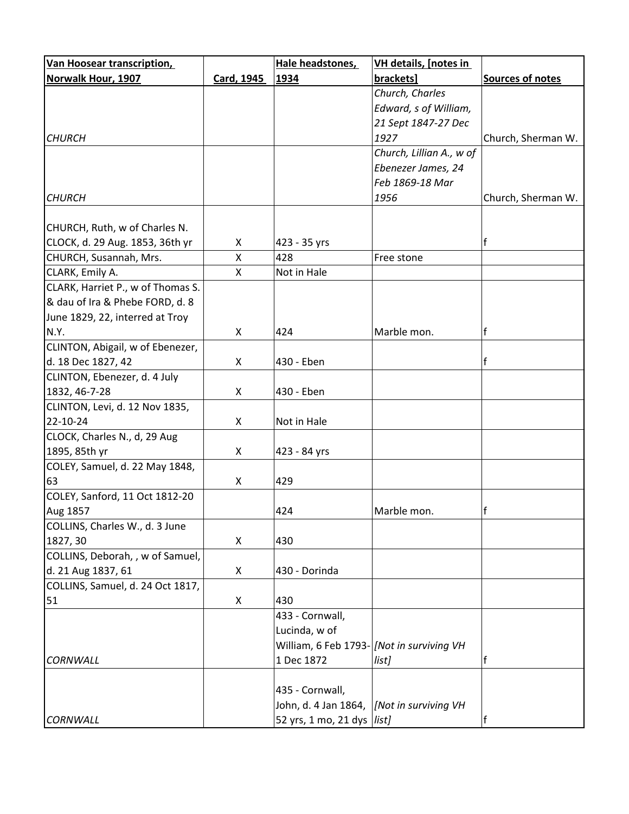| <b>Van Hoosear transcription,</b> |            | Hale headstones,                           | VH details, [notes in    |                    |
|-----------------------------------|------------|--------------------------------------------|--------------------------|--------------------|
| Norwalk Hour, 1907                | Card, 1945 | 1934                                       | brackets]                | Sources of notes   |
|                                   |            |                                            | Church, Charles          |                    |
|                                   |            |                                            | Edward, s of William,    |                    |
|                                   |            |                                            | 21 Sept 1847-27 Dec      |                    |
| <b>CHURCH</b>                     |            |                                            | 1927                     | Church, Sherman W. |
|                                   |            |                                            | Church, Lillian A., w of |                    |
|                                   |            |                                            | Ebenezer James, 24       |                    |
|                                   |            |                                            | Feb 1869-18 Mar          |                    |
| <b>CHURCH</b>                     |            |                                            | 1956                     | Church, Sherman W. |
|                                   |            |                                            |                          |                    |
| CHURCH, Ruth, w of Charles N.     |            |                                            |                          |                    |
| CLOCK, d. 29 Aug. 1853, 36th yr   | X          | 423 - 35 yrs                               |                          | f                  |
| CHURCH, Susannah, Mrs.            | X          | 428                                        | Free stone               |                    |
| CLARK, Emily A.                   | X          | Not in Hale                                |                          |                    |
| CLARK, Harriet P., w of Thomas S. |            |                                            |                          |                    |
| & dau of Ira & Phebe FORD, d. 8   |            |                                            |                          |                    |
| June 1829, 22, interred at Troy   |            |                                            |                          |                    |
| N.Y.                              | X          | 424                                        | Marble mon.              | f                  |
| CLINTON, Abigail, w of Ebenezer,  |            |                                            |                          |                    |
| d. 18 Dec 1827, 42                | X          | 430 - Eben                                 |                          | f                  |
| CLINTON, Ebenezer, d. 4 July      |            |                                            |                          |                    |
| 1832, 46-7-28                     | X          | 430 - Eben                                 |                          |                    |
| CLINTON, Levi, d. 12 Nov 1835,    |            |                                            |                          |                    |
| 22-10-24                          | X          | Not in Hale                                |                          |                    |
| CLOCK, Charles N., d, 29 Aug      |            |                                            |                          |                    |
| 1895, 85th yr                     | X          | 423 - 84 yrs                               |                          |                    |
| COLEY, Samuel, d. 22 May 1848,    |            |                                            |                          |                    |
| 63                                | X          | 429                                        |                          |                    |
| COLEY, Sanford, 11 Oct 1812-20    |            |                                            |                          |                    |
| Aug 1857                          |            | 424                                        | Marble mon.              |                    |
| COLLINS, Charles W., d. 3 June    |            |                                            |                          |                    |
| 1827, 30                          | X          | 430                                        |                          |                    |
| COLLINS, Deborah, , w of Samuel,  |            |                                            |                          |                    |
| d. 21 Aug 1837, 61                | X          | 430 - Dorinda                              |                          |                    |
| COLLINS, Samuel, d. 24 Oct 1817,  |            |                                            |                          |                    |
| 51                                | X          | 430                                        |                          |                    |
|                                   |            | 433 - Cornwall,                            |                          |                    |
|                                   |            | Lucinda, w of                              |                          |                    |
|                                   |            | William, 6 Feb 1793- [Not in surviving VH  |                          |                    |
| <b>CORNWALL</b>                   |            | 1 Dec 1872                                 | list]                    |                    |
|                                   |            |                                            |                          |                    |
|                                   |            | 435 - Cornwall,                            |                          |                    |
|                                   |            | John, d. 4 Jan 1864,  [Not in surviving VH |                          |                    |
| <b>CORNWALL</b>                   |            | 52 yrs, 1 mo, 21 dys   list]               |                          |                    |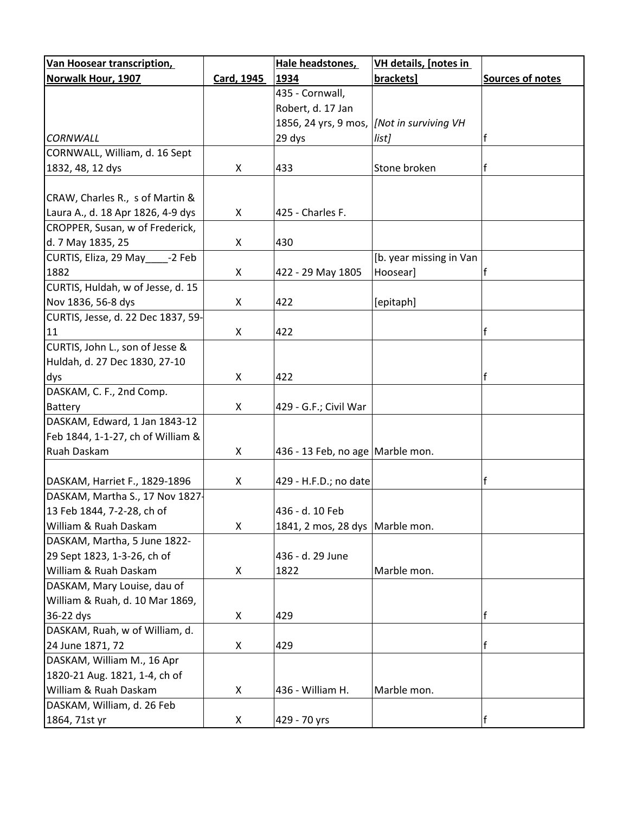| <b>Van Hoosear transcription,</b>  |            | Hale headstones,                  | VH details, [notes in   |                         |
|------------------------------------|------------|-----------------------------------|-------------------------|-------------------------|
| <b>Norwalk Hour, 1907</b>          | Card, 1945 | 1934                              | brackets]               | <b>Sources of notes</b> |
|                                    |            | 435 - Cornwall,                   |                         |                         |
|                                    |            | Robert, d. 17 Jan                 |                         |                         |
|                                    |            | 1856, 24 yrs, 9 mos,              | [Not in surviving VH    |                         |
| CORNWALL                           |            | 29 dys                            | list]                   |                         |
| CORNWALL, William, d. 16 Sept      |            |                                   |                         |                         |
| 1832, 48, 12 dys                   | X          | 433                               | Stone broken            | f                       |
|                                    |            |                                   |                         |                         |
| CRAW, Charles R., s of Martin &    |            |                                   |                         |                         |
| Laura A., d. 18 Apr 1826, 4-9 dys  | X          | 425 - Charles F.                  |                         |                         |
| CROPPER, Susan, w of Frederick,    |            |                                   |                         |                         |
| d. 7 May 1835, 25                  | X          | 430                               |                         |                         |
| CURTIS, Eliza, 29 May -2 Feb       |            |                                   | [b. year missing in Van |                         |
| 1882                               | X          | 422 - 29 May 1805                 | Hoosear]                |                         |
| CURTIS, Huldah, w of Jesse, d. 15  |            |                                   |                         |                         |
| Nov 1836, 56-8 dys                 | X          | 422                               | [epitaph]               |                         |
| CURTIS, Jesse, d. 22 Dec 1837, 59- |            |                                   |                         |                         |
| 11                                 | X          | 422                               |                         | f                       |
| CURTIS, John L., son of Jesse &    |            |                                   |                         |                         |
| Huldah, d. 27 Dec 1830, 27-10      |            |                                   |                         |                         |
| dys                                | X          | 422                               |                         | f                       |
| DASKAM, C. F., 2nd Comp.           |            |                                   |                         |                         |
| Battery                            | X          | 429 - G.F.; Civil War             |                         |                         |
| DASKAM, Edward, 1 Jan 1843-12      |            |                                   |                         |                         |
| Feb 1844, 1-1-27, ch of William &  |            |                                   |                         |                         |
| Ruah Daskam                        | X          | 436 - 13 Feb, no age Marble mon.  |                         |                         |
|                                    |            |                                   |                         |                         |
| DASKAM, Harriet F., 1829-1896      | X          | 429 - H.F.D.; no date             |                         |                         |
| DASKAM, Martha S., 17 Nov 1827-    |            |                                   |                         |                         |
| 13 Feb 1844, 7-2-28, ch of         |            | 436 - d. 10 Feb                   |                         |                         |
| William & Ruah Daskam              | X          | 1841, 2 mos, 28 dys   Marble mon. |                         |                         |
| DASKAM, Martha, 5 June 1822-       |            |                                   |                         |                         |
| 29 Sept 1823, 1-3-26, ch of        |            | 436 - d. 29 June                  |                         |                         |
| William & Ruah Daskam              | X          | 1822                              | Marble mon.             |                         |
| DASKAM, Mary Louise, dau of        |            |                                   |                         |                         |
| William & Ruah, d. 10 Mar 1869,    |            |                                   |                         |                         |
| 36-22 dys                          | X          | 429                               |                         | f                       |
| DASKAM, Ruah, w of William, d.     |            |                                   |                         |                         |
| 24 June 1871, 72                   | X          | 429                               |                         | f                       |
| DASKAM, William M., 16 Apr         |            |                                   |                         |                         |
| 1820-21 Aug. 1821, 1-4, ch of      |            |                                   |                         |                         |
| William & Ruah Daskam              | X          | 436 - William H.                  | Marble mon.             |                         |
| DASKAM, William, d. 26 Feb         |            |                                   |                         |                         |
| 1864, 71st yr                      | X          | 429 - 70 yrs                      |                         | $\mathsf{f}$            |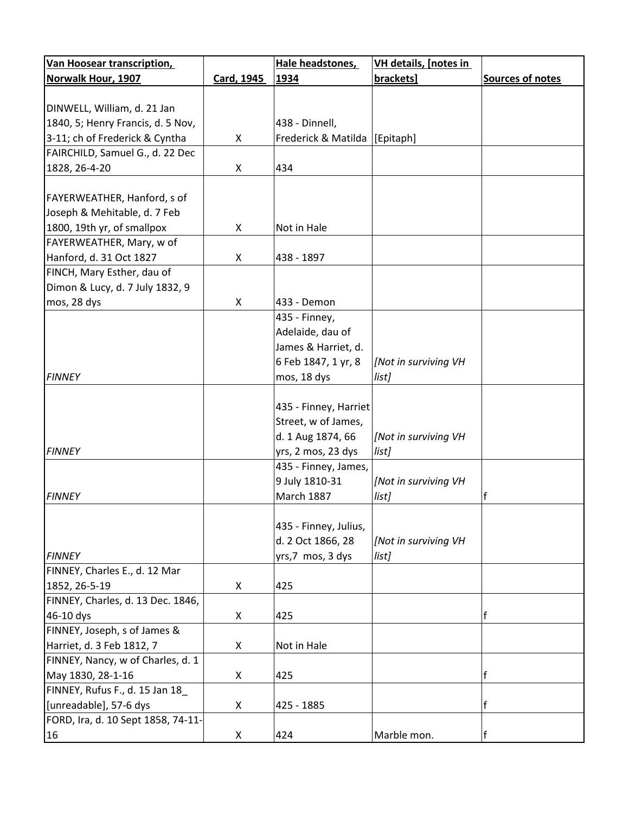| <b>Van Hoosear transcription,</b>  |            | Hale headstones,      | <b>VH details, [notes in</b> |                  |
|------------------------------------|------------|-----------------------|------------------------------|------------------|
| Norwalk Hour, 1907                 | Card, 1945 | 1934                  | brackets]                    | Sources of notes |
|                                    |            |                       |                              |                  |
| DINWELL, William, d. 21 Jan        |            |                       |                              |                  |
| 1840, 5; Henry Francis, d. 5 Nov,  |            | 438 - Dinnell,        |                              |                  |
| 3-11; ch of Frederick & Cyntha     | X          | Frederick & Matilda   | [Epitaph]                    |                  |
| FAIRCHILD, Samuel G., d. 22 Dec    |            |                       |                              |                  |
| 1828, 26-4-20                      | X          | 434                   |                              |                  |
|                                    |            |                       |                              |                  |
| FAYERWEATHER, Hanford, s of        |            |                       |                              |                  |
| Joseph & Mehitable, d. 7 Feb       |            |                       |                              |                  |
| 1800, 19th yr, of smallpox         | X          | Not in Hale           |                              |                  |
| FAYERWEATHER, Mary, w of           |            |                       |                              |                  |
| Hanford, d. 31 Oct 1827            | X          | 438 - 1897            |                              |                  |
| FINCH, Mary Esther, dau of         |            |                       |                              |                  |
| Dimon & Lucy, d. 7 July 1832, 9    |            |                       |                              |                  |
| mos, 28 dys                        | X          | 433 - Demon           |                              |                  |
|                                    |            | 435 - Finney,         |                              |                  |
|                                    |            | Adelaide, dau of      |                              |                  |
|                                    |            | James & Harriet, d.   |                              |                  |
|                                    |            | 6 Feb 1847, 1 yr, 8   | [Not in surviving VH         |                  |
| <b>FINNEY</b>                      |            |                       |                              |                  |
|                                    |            | mos, 18 dys           | list]                        |                  |
|                                    |            |                       |                              |                  |
|                                    |            | 435 - Finney, Harriet |                              |                  |
|                                    |            | Street, w of James,   |                              |                  |
|                                    |            | d. 1 Aug 1874, 66     | [Not in surviving VH         |                  |
| <b>FINNEY</b>                      |            | yrs, 2 mos, 23 dys    | list]                        |                  |
|                                    |            | 435 - Finney, James,  |                              |                  |
|                                    |            | 9 July 1810-31        | [Not in surviving VH         |                  |
| <b>FINNEY</b>                      |            | <b>March 1887</b>     | list]                        | f                |
|                                    |            |                       |                              |                  |
|                                    |            | 435 - Finney, Julius, |                              |                  |
|                                    |            | d. 2 Oct 1866, 28     | [Not in surviving VH         |                  |
| <b>FINNEY</b>                      |            | yrs,7 mos, 3 dys      | list]                        |                  |
| FINNEY, Charles E., d. 12 Mar      |            |                       |                              |                  |
| 1852, 26-5-19                      | X          | 425                   |                              |                  |
| FINNEY, Charles, d. 13 Dec. 1846,  |            |                       |                              |                  |
| 46-10 dys                          | X          | 425                   |                              | f                |
| FINNEY, Joseph, s of James &       |            |                       |                              |                  |
| Harriet, d. 3 Feb 1812, 7          | X          | Not in Hale           |                              |                  |
| FINNEY, Nancy, w of Charles, d. 1  |            |                       |                              |                  |
| May 1830, 28-1-16                  | X          | 425                   |                              | f                |
| FINNEY, Rufus F., d. 15 Jan 18     |            |                       |                              |                  |
| [unreadable], 57-6 dys             | X          | 425 - 1885            |                              | f                |
| FORD, Ira, d. 10 Sept 1858, 74-11- |            |                       |                              |                  |
| 16                                 | X          | 424                   | Marble mon.                  | f                |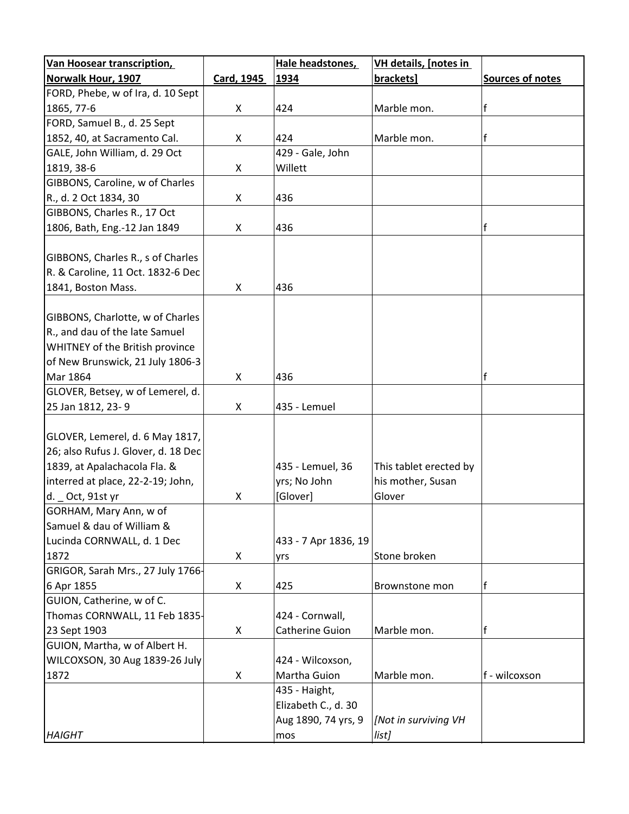| <b>Van Hoosear transcription,</b>   |            | Hale headstones,     | <b>VH details, [notes in</b> |                         |
|-------------------------------------|------------|----------------------|------------------------------|-------------------------|
| Norwalk Hour, 1907                  | Card, 1945 | 1934                 | brackets]                    | <b>Sources of notes</b> |
| FORD, Phebe, w of Ira, d. 10 Sept   |            |                      |                              |                         |
| 1865, 77-6                          | X          | 424                  | Marble mon.                  | $\mathsf{f}$            |
| FORD, Samuel B., d. 25 Sept         |            |                      |                              |                         |
| 1852, 40, at Sacramento Cal.        | X          | 424                  | Marble mon.                  | f                       |
| GALE, John William, d. 29 Oct       |            | 429 - Gale, John     |                              |                         |
| 1819, 38-6                          | X          | Willett              |                              |                         |
| GIBBONS, Caroline, w of Charles     |            |                      |                              |                         |
| R., d. 2 Oct 1834, 30               | X          | 436                  |                              |                         |
| GIBBONS, Charles R., 17 Oct         |            |                      |                              |                         |
| 1806, Bath, Eng.-12 Jan 1849        | X          | 436                  |                              | f                       |
|                                     |            |                      |                              |                         |
| GIBBONS, Charles R., s of Charles   |            |                      |                              |                         |
| R. & Caroline, 11 Oct. 1832-6 Dec   |            |                      |                              |                         |
| 1841, Boston Mass.                  | X          | 436                  |                              |                         |
|                                     |            |                      |                              |                         |
| GIBBONS, Charlotte, w of Charles    |            |                      |                              |                         |
| R., and dau of the late Samuel      |            |                      |                              |                         |
| WHITNEY of the British province     |            |                      |                              |                         |
| of New Brunswick, 21 July 1806-3    |            |                      |                              |                         |
| Mar 1864                            | X          | 436                  |                              | f                       |
|                                     |            |                      |                              |                         |
| GLOVER, Betsey, w of Lemerel, d.    |            |                      |                              |                         |
| 25 Jan 1812, 23-9                   | X          | 435 - Lemuel         |                              |                         |
|                                     |            |                      |                              |                         |
| GLOVER, Lemerel, d. 6 May 1817,     |            |                      |                              |                         |
| 26; also Rufus J. Glover, d. 18 Dec |            |                      |                              |                         |
| 1839, at Apalachacola Fla. &        |            | 435 - Lemuel, 36     | This tablet erected by       |                         |
| interred at place, 22-2-19; John,   |            | yrs; No John         | his mother, Susan            |                         |
| d. _ Oct, 91st yr                   | X          | [Glover]             | Glover                       |                         |
| GORHAM, Mary Ann, w of              |            |                      |                              |                         |
| Samuel & dau of William &           |            |                      |                              |                         |
| Lucinda CORNWALL, d. 1 Dec          |            | 433 - 7 Apr 1836, 19 |                              |                         |
| 1872                                | X          | yrs                  | Stone broken                 |                         |
| GRIGOR, Sarah Mrs., 27 July 1766-   |            |                      |                              |                         |
| 6 Apr 1855                          | X          | 425                  | Brownstone mon               | lf                      |
| GUION, Catherine, w of C.           |            |                      |                              |                         |
| Thomas CORNWALL, 11 Feb 1835-       |            | 424 - Cornwall,      |                              |                         |
| 23 Sept 1903                        | X          | Catherine Guion      | Marble mon.                  | f                       |
| GUION, Martha, w of Albert H.       |            |                      |                              |                         |
| WILCOXSON, 30 Aug 1839-26 July      |            | 424 - Wilcoxson,     |                              |                         |
| 1872                                | X          | Martha Guion         | Marble mon.                  | f - wilcoxson           |
|                                     |            | 435 - Haight,        |                              |                         |
|                                     |            | Elizabeth C., d. 30  |                              |                         |
|                                     |            | Aug 1890, 74 yrs, 9  | [Not in surviving VH         |                         |
| <b>HAIGHT</b>                       |            | mos                  | list]                        |                         |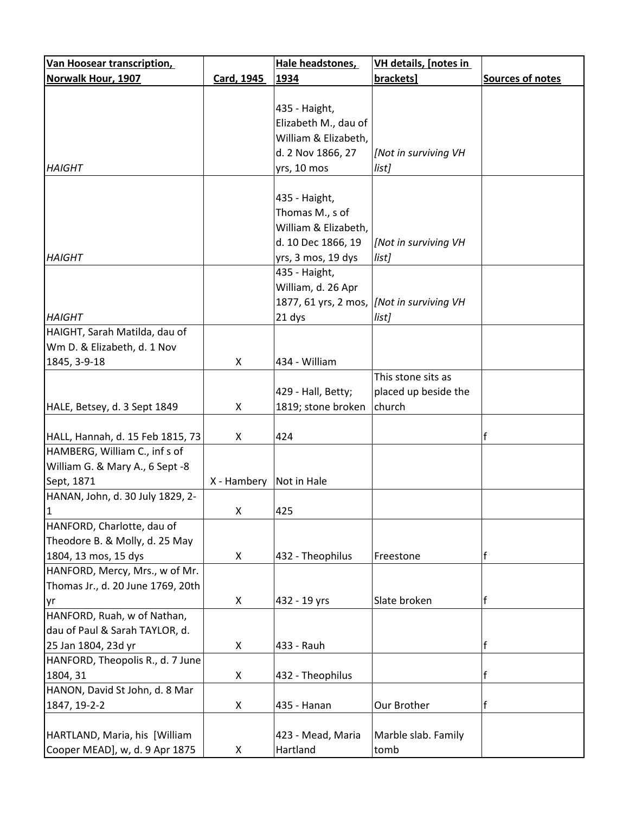| <b>Van Hoosear transcription,</b>                            |             | Hale headstones,     | <b>VH details, [notes in</b> |                         |
|--------------------------------------------------------------|-------------|----------------------|------------------------------|-------------------------|
| Norwalk Hour, 1907                                           | Card, 1945  | 1934                 | brackets]                    | <b>Sources of notes</b> |
|                                                              |             |                      |                              |                         |
|                                                              |             | 435 - Haight,        |                              |                         |
|                                                              |             | Elizabeth M., dau of |                              |                         |
|                                                              |             | William & Elizabeth, |                              |                         |
|                                                              |             | d. 2 Nov 1866, 27    | [Not in surviving VH         |                         |
| <b>HAIGHT</b>                                                |             | yrs, 10 mos          | list]                        |                         |
|                                                              |             |                      |                              |                         |
|                                                              |             | 435 - Haight,        |                              |                         |
|                                                              |             | Thomas M., s of      |                              |                         |
|                                                              |             | William & Elizabeth, |                              |                         |
|                                                              |             | d. 10 Dec 1866, 19   | [Not in surviving VH         |                         |
| <b>HAIGHT</b>                                                |             | yrs, 3 mos, 19 dys   | list]                        |                         |
|                                                              |             | 435 - Haight,        |                              |                         |
|                                                              |             | William, d. 26 Apr   |                              |                         |
|                                                              |             | 1877, 61 yrs, 2 mos, | [Not in surviving VH         |                         |
| <b>HAIGHT</b>                                                |             | 21 dys               | list]                        |                         |
| HAIGHT, Sarah Matilda, dau of                                |             |                      |                              |                         |
| Wm D. & Elizabeth, d. 1 Nov                                  |             |                      |                              |                         |
| 1845, 3-9-18                                                 | X           | 434 - William        |                              |                         |
|                                                              |             |                      | This stone sits as           |                         |
|                                                              |             | 429 - Hall, Betty;   | placed up beside the         |                         |
| HALE, Betsey, d. 3 Sept 1849                                 | X           | 1819; stone broken   | church                       |                         |
|                                                              |             |                      |                              |                         |
| HALL, Hannah, d. 15 Feb 1815, 73                             | X           | 424                  |                              | f                       |
| HAMBERG, William C., inf s of                                |             |                      |                              |                         |
| William G. & Mary A., 6 Sept -8                              |             |                      |                              |                         |
| Sept, 1871                                                   | X - Hambery | Not in Hale          |                              |                         |
| HANAN, John, d. 30 July 1829, 2-                             |             |                      |                              |                         |
| 1                                                            | X           | 425                  |                              |                         |
| HANFORD, Charlotte, dau of<br>Theodore B. & Molly, d. 25 May |             |                      |                              |                         |
| 1804, 13 mos, 15 dys                                         | X           | 432 - Theophilus     | Freestone                    | f                       |
| HANFORD, Mercy, Mrs., w of Mr.                               |             |                      |                              |                         |
| Thomas Jr., d. 20 June 1769, 20th                            |             |                      |                              |                         |
| yr                                                           | X           | 432 - 19 yrs         | Slate broken                 | f                       |
| HANFORD, Ruah, w of Nathan,                                  |             |                      |                              |                         |
| dau of Paul & Sarah TAYLOR, d.                               |             |                      |                              |                         |
| 25 Jan 1804, 23d yr                                          | X           | 433 - Rauh           |                              | $\mathsf{f}$            |
| HANFORD, Theopolis R., d. 7 June                             |             |                      |                              |                         |
| 1804, 31                                                     | X           | 432 - Theophilus     |                              | f                       |
| HANON, David St John, d. 8 Mar                               |             |                      |                              |                         |
| 1847, 19-2-2                                                 | X           | 435 - Hanan          | Our Brother                  | $\mathsf{f}$            |
|                                                              |             |                      |                              |                         |
| HARTLAND, Maria, his [William                                |             | 423 - Mead, Maria    | Marble slab. Family          |                         |
| Cooper MEAD], w, d. 9 Apr 1875                               | X           | Hartland             | tomb                         |                         |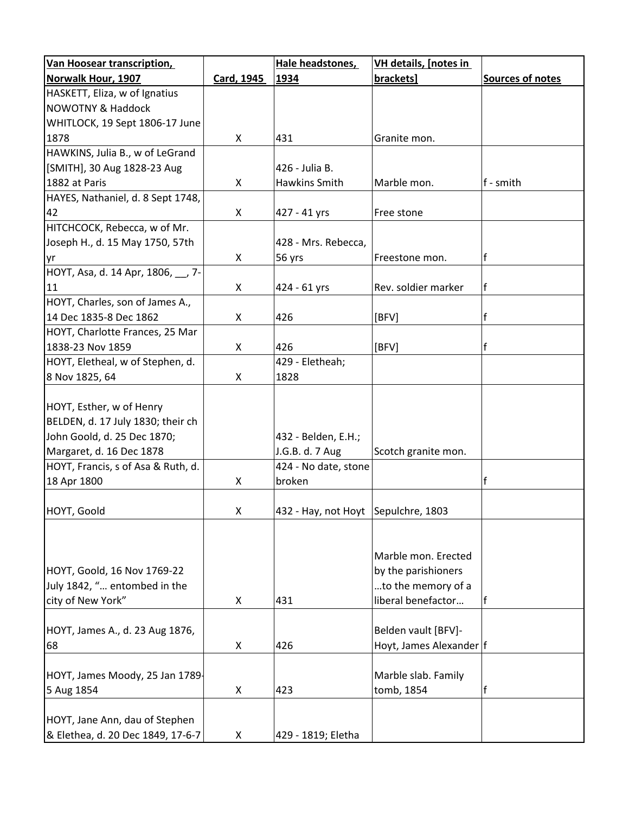| Van Hoosear transcription,         |                   | Hale headstones,                       | <b>VH details, [notes in</b> |                         |
|------------------------------------|-------------------|----------------------------------------|------------------------------|-------------------------|
| <b>Norwalk Hour, 1907</b>          | <b>Card, 1945</b> | 1934                                   | brackets]                    | <b>Sources of notes</b> |
| HASKETT, Eliza, w of Ignatius      |                   |                                        |                              |                         |
| <b>NOWOTNY &amp; Haddock</b>       |                   |                                        |                              |                         |
| WHITLOCK, 19 Sept 1806-17 June     |                   |                                        |                              |                         |
| 1878                               | X                 | 431                                    | Granite mon.                 |                         |
| HAWKINS, Julia B., w of LeGrand    |                   |                                        |                              |                         |
| [SMITH], 30 Aug 1828-23 Aug        |                   | 426 - Julia B.                         |                              |                         |
| 1882 at Paris                      | X                 | Hawkins Smith                          | Marble mon.                  | f - smith               |
| HAYES, Nathaniel, d. 8 Sept 1748,  |                   |                                        |                              |                         |
| 42                                 | X                 | 427 - 41 yrs                           | Free stone                   |                         |
| HITCHCOCK, Rebecca, w of Mr.       |                   |                                        |                              |                         |
| Joseph H., d. 15 May 1750, 57th    |                   | 428 - Mrs. Rebecca,                    |                              |                         |
| yr                                 | X                 | 56 yrs                                 | Freestone mon.               |                         |
| HOYT, Asa, d. 14 Apr, 1806, 7-     |                   |                                        |                              |                         |
| 11                                 | X                 | 424 - 61 yrs                           | Rev. soldier marker          | f                       |
| HOYT, Charles, son of James A.,    |                   |                                        |                              |                         |
| 14 Dec 1835-8 Dec 1862             | X                 | 426                                    | [BFV]                        | f                       |
| HOYT, Charlotte Frances, 25 Mar    |                   |                                        |                              |                         |
| 1838-23 Nov 1859                   | X                 | 426                                    | [BFV]                        |                         |
| HOYT, Eletheal, w of Stephen, d.   |                   | 429 - Eletheah;                        |                              |                         |
| 8 Nov 1825, 64                     | X                 | 1828                                   |                              |                         |
|                                    |                   |                                        |                              |                         |
| HOYT, Esther, w of Henry           |                   |                                        |                              |                         |
| BELDEN, d. 17 July 1830; their ch  |                   |                                        |                              |                         |
| John Goold, d. 25 Dec 1870;        |                   | 432 - Belden, E.H.;                    |                              |                         |
| Margaret, d. 16 Dec 1878           |                   | J.G.B. d. 7 Aug                        | Scotch granite mon.          |                         |
| HOYT, Francis, s of Asa & Ruth, d. |                   | 424 - No date, stone                   |                              |                         |
| 18 Apr 1800                        | X                 | broken                                 |                              |                         |
|                                    |                   |                                        |                              |                         |
| HOYT, Goold                        | X                 | $ 432 -$ Hay, not Hoyt Sepulchre, 1803 |                              |                         |
|                                    |                   |                                        |                              |                         |
|                                    |                   |                                        |                              |                         |
|                                    |                   |                                        | Marble mon. Erected          |                         |
| HOYT, Goold, 16 Nov 1769-22        |                   |                                        | by the parishioners          |                         |
| July 1842, " entombed in the       |                   |                                        | to the memory of a           |                         |
| city of New York"                  | X                 | 431                                    | liberal benefactor           |                         |
|                                    |                   |                                        |                              |                         |
| HOYT, James A., d. 23 Aug 1876,    |                   |                                        | Belden vault [BFV]-          |                         |
| 68                                 | X                 | 426                                    | Hoyt, James Alexander  f     |                         |
|                                    |                   |                                        |                              |                         |
| HOYT, James Moody, 25 Jan 1789-    |                   |                                        | Marble slab. Family          |                         |
| 5 Aug 1854                         | X                 | 423                                    | tomb, 1854                   |                         |
|                                    |                   |                                        |                              |                         |
| HOYT, Jane Ann, dau of Stephen     |                   |                                        |                              |                         |
| & Elethea, d. 20 Dec 1849, 17-6-7  | X                 | 429 - 1819; Eletha                     |                              |                         |
|                                    |                   |                                        |                              |                         |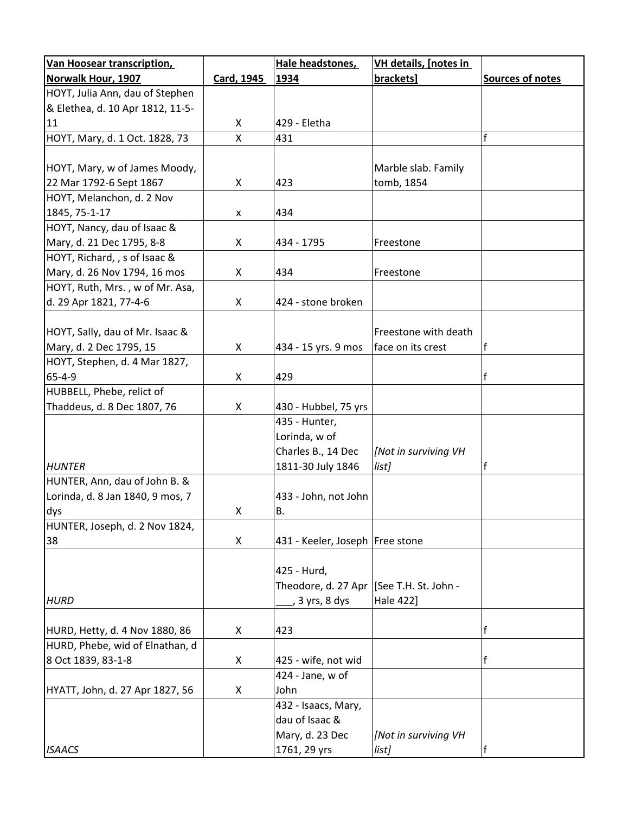| <b>Van Hoosear transcription,</b> |              | Hale headstones,                | VH details, [notes in             |                  |
|-----------------------------------|--------------|---------------------------------|-----------------------------------|------------------|
| <b>Norwalk Hour, 1907</b>         | Card, 1945   | 1934                            | brackets]                         | Sources of notes |
| HOYT, Julia Ann, dau of Stephen   |              |                                 |                                   |                  |
| & Elethea, d. 10 Apr 1812, 11-5-  |              |                                 |                                   |                  |
| 11                                | X            | 429 - Eletha                    |                                   |                  |
| HOYT, Mary, d. 1 Oct. 1828, 73    | $\mathsf{X}$ | 431                             |                                   |                  |
|                                   |              |                                 |                                   |                  |
| HOYT, Mary, w of James Moody,     |              |                                 | Marble slab. Family               |                  |
| 22 Mar 1792-6 Sept 1867           | X            | 423                             | tomb, 1854                        |                  |
| HOYT, Melanchon, d. 2 Nov         |              |                                 |                                   |                  |
| 1845, 75-1-17                     | X            | 434                             |                                   |                  |
| HOYT, Nancy, dau of Isaac &       |              |                                 |                                   |                  |
| Mary, d. 21 Dec 1795, 8-8         | X            | 434 - 1795                      | Freestone                         |                  |
| HOYT, Richard, , s of Isaac &     |              |                                 |                                   |                  |
| Mary, d. 26 Nov 1794, 16 mos      | X            | 434                             | Freestone                         |                  |
| HOYT, Ruth, Mrs., w of Mr. Asa,   |              |                                 |                                   |                  |
| d. 29 Apr 1821, 77-4-6            | X            | 424 - stone broken              |                                   |                  |
|                                   |              |                                 |                                   |                  |
| HOYT, Sally, dau of Mr. Isaac &   |              |                                 | Freestone with death              |                  |
| Mary, d. 2 Dec 1795, 15           | X            | 434 - 15 yrs. 9 mos             | face on its crest                 |                  |
| HOYT, Stephen, d. 4 Mar 1827,     |              |                                 |                                   |                  |
| $65 - 4 - 9$                      | X            | 429                             |                                   | f                |
| HUBBELL, Phebe, relict of         |              |                                 |                                   |                  |
| Thaddeus, d. 8 Dec 1807, 76       | X            | 430 - Hubbel, 75 yrs            |                                   |                  |
|                                   |              | 435 - Hunter,                   |                                   |                  |
|                                   |              | Lorinda, w of                   |                                   |                  |
|                                   |              | Charles B., 14 Dec              | [Not in surviving VH              |                  |
| <b>HUNTER</b>                     |              | 1811-30 July 1846               | list]                             |                  |
| HUNTER, Ann, dau of John B. &     |              |                                 |                                   |                  |
| Lorinda, d. 8 Jan 1840, 9 mos, 7  |              | 433 - John, not John            |                                   |                  |
| dys                               | X            | <b>B.</b>                       |                                   |                  |
| HUNTER, Joseph, d. 2 Nov 1824,    |              |                                 |                                   |                  |
| 38                                | X            | 431 - Keeler, Joseph Free stone |                                   |                  |
|                                   |              |                                 |                                   |                  |
|                                   |              | 425 - Hurd,                     |                                   |                  |
| <b>HURD</b>                       |              | Theodore, d. 27 Apr             | [See T.H. St. John -<br>Hale 422] |                  |
|                                   |              | , 3 yrs, 8 dys                  |                                   |                  |
| HURD, Hetty, d. 4 Nov 1880, 86    | X            | 423                             |                                   | $\mathsf{f}$     |
| HURD, Phebe, wid of Elnathan, d   |              |                                 |                                   |                  |
| 8 Oct 1839, 83-1-8                | X            | 425 - wife, not wid             |                                   |                  |
|                                   |              | 424 - Jane, w of                |                                   |                  |
| HYATT, John, d. 27 Apr 1827, 56   | X            | John                            |                                   |                  |
|                                   |              | 432 - Isaacs, Mary,             |                                   |                  |
|                                   |              | dau of Isaac &                  |                                   |                  |
|                                   |              | Mary, d. 23 Dec                 | [Not in surviving VH              |                  |
| <b>ISAACS</b>                     |              | 1761, 29 yrs                    | list]                             |                  |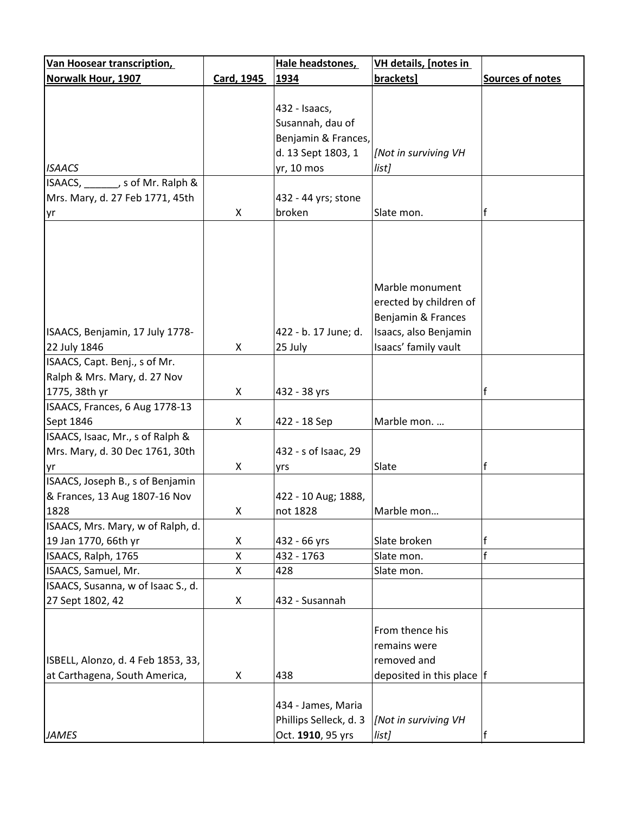| Norwalk Hour, 1907<br>brackets]<br><b>Sources of notes</b><br>Card, 1945<br>1934 |  |
|----------------------------------------------------------------------------------|--|
|                                                                                  |  |
|                                                                                  |  |
| 432 - Isaacs,                                                                    |  |
| Susannah, dau of                                                                 |  |
| Benjamin & Frances,                                                              |  |
| d. 13 Sept 1803, 1<br>[Not in surviving VH                                       |  |
| yr, 10 mos<br><b>ISAACS</b><br>list]                                             |  |
| ISAACS, _______, s of Mr. Ralph &                                                |  |
| Mrs. Mary, d. 27 Feb 1771, 45th<br>432 - 44 yrs; stone                           |  |
| X<br>broken<br>f<br>Slate mon.<br>yr                                             |  |
|                                                                                  |  |
| Marble monument<br>erected by children of                                        |  |
| Benjamin & Frances                                                               |  |
| 422 - b. 17 June; d.<br>Isaacs, also Benjamin<br>ISAACS, Benjamin, 17 July 1778- |  |
| Isaacs' family vault<br>22 July 1846<br>25 July<br>X                             |  |
| ISAACS, Capt. Benj., s of Mr.                                                    |  |
| Ralph & Mrs. Mary, d. 27 Nov                                                     |  |
| f<br>1775, 38th yr<br>X<br>432 - 38 yrs                                          |  |
| ISAACS, Frances, 6 Aug 1778-13                                                   |  |
| Sept 1846<br>Marble mon.<br>X<br>422 - 18 Sep                                    |  |
| ISAACS, Isaac, Mr., s of Ralph &                                                 |  |
| Mrs. Mary, d. 30 Dec 1761, 30th<br>432 - s of Isaac, 29                          |  |
| f<br>X<br>Slate<br>yr<br>yrs                                                     |  |
| ISAACS, Joseph B., s of Benjamin                                                 |  |
| & Frances, 13 Aug 1807-16 Nov<br>422 - 10 Aug; 1888,                             |  |
| 1828<br>X<br>not 1828<br>Marble mon                                              |  |
| ISAACS, Mrs. Mary, w of Ralph, d.                                                |  |
| 19 Jan 1770, 66th yr<br>X<br>432 - 66 yrs<br>Slate broken<br>f                   |  |
| f<br>X<br>ISAACS, Ralph, 1765<br>432 - 1763<br>Slate mon.                        |  |
| ISAACS, Samuel, Mr.<br>X<br>428<br>Slate mon.                                    |  |
| ISAACS, Susanna, w of Isaac S., d.                                               |  |
| 27 Sept 1802, 42<br>432 - Susannah<br>X                                          |  |
|                                                                                  |  |
| From thence his                                                                  |  |
| remains were                                                                     |  |
| removed and<br>ISBELL, Alonzo, d. 4 Feb 1853, 33,                                |  |
| at Carthagena, South America,<br>X<br>438<br>deposited in this place $ f $       |  |
|                                                                                  |  |
| 434 - James, Maria                                                               |  |
| Phillips Selleck, d. 3<br>[Not in surviving VH                                   |  |
| Oct. 1910, 95 yrs<br><b>JAMES</b><br>list]                                       |  |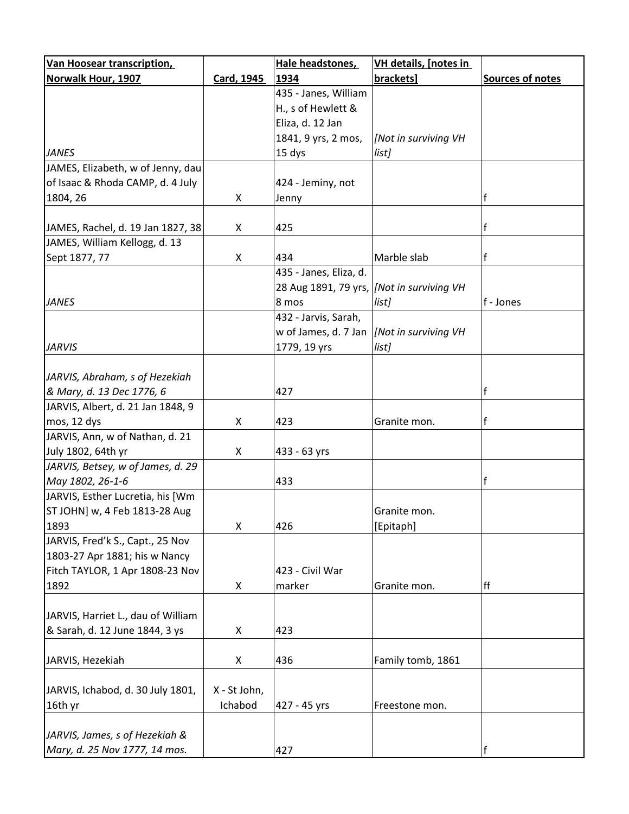| <b>Van Hoosear transcription,</b>  |                   | Hale headstones,                         | <b>VH details, [notes in</b> |                  |
|------------------------------------|-------------------|------------------------------------------|------------------------------|------------------|
| Norwalk Hour, 1907                 | <b>Card, 1945</b> | 1934                                     | brackets]                    | Sources of notes |
|                                    |                   | 435 - Janes, William                     |                              |                  |
|                                    |                   | H., s of Hewlett &                       |                              |                  |
|                                    |                   | Eliza, d. 12 Jan                         |                              |                  |
|                                    |                   | 1841, 9 yrs, 2 mos,                      | [Not in surviving VH         |                  |
| <b>JANES</b>                       |                   | 15 dys                                   | list]                        |                  |
| JAMES, Elizabeth, w of Jenny, dau  |                   |                                          |                              |                  |
| of Isaac & Rhoda CAMP, d. 4 July   |                   | 424 - Jeminy, not                        |                              |                  |
| 1804, 26                           | X                 | Jenny                                    |                              | f                |
|                                    |                   |                                          |                              |                  |
| JAMES, Rachel, d. 19 Jan 1827, 38  | X                 | 425                                      |                              | $\mathsf{f}$     |
| JAMES, William Kellogg, d. 13      |                   |                                          |                              |                  |
| Sept 1877, 77                      | X                 | 434                                      | Marble slab                  | $\mathsf{f}$     |
|                                    |                   | 435 - Janes, Eliza, d.                   |                              |                  |
|                                    |                   | 28 Aug 1891, 79 yrs, Mot in surviving VH |                              |                  |
| <b>JANES</b>                       |                   | 8 mos                                    | list]                        | f - Jones        |
|                                    |                   | 432 - Jarvis, Sarah,                     |                              |                  |
|                                    |                   | w of James, d. 7 Jan                     | [Not in surviving VH         |                  |
| <b>JARVIS</b>                      |                   | 1779, 19 yrs                             | list]                        |                  |
|                                    |                   |                                          |                              |                  |
| JARVIS, Abraham, s of Hezekiah     |                   |                                          |                              |                  |
| & Mary, d. 13 Dec 1776, 6          |                   | 427                                      |                              | f                |
| JARVIS, Albert, d. 21 Jan 1848, 9  |                   |                                          |                              |                  |
| mos, 12 dys                        | X                 | 423                                      | Granite mon.                 | lf               |
| JARVIS, Ann, w of Nathan, d. 21    |                   |                                          |                              |                  |
| July 1802, 64th yr                 | X                 | 433 - 63 yrs                             |                              |                  |
| JARVIS, Betsey, w of James, d. 29  |                   |                                          |                              |                  |
| May 1802, 26-1-6                   |                   | 433                                      |                              | f                |
| JARVIS, Esther Lucretia, his [Wm   |                   |                                          |                              |                  |
| ST JOHN] w, 4 Feb 1813-28 Aug      |                   |                                          | Granite mon.                 |                  |
| 1893                               | X                 | 426                                      | [Epitaph]                    |                  |
| JARVIS, Fred'k S., Capt., 25 Nov   |                   |                                          |                              |                  |
| 1803-27 Apr 1881; his w Nancy      |                   |                                          |                              |                  |
| Fitch TAYLOR, 1 Apr 1808-23 Nov    |                   | 423 - Civil War                          |                              |                  |
| 1892                               | X                 | marker                                   | Granite mon.                 | ff               |
|                                    |                   |                                          |                              |                  |
| JARVIS, Harriet L., dau of William |                   |                                          |                              |                  |
| & Sarah, d. 12 June 1844, 3 ys     | X                 | 423                                      |                              |                  |
|                                    |                   |                                          |                              |                  |
| JARVIS, Hezekiah                   | X                 | 436                                      | Family tomb, 1861            |                  |
|                                    |                   |                                          |                              |                  |
| JARVIS, Ichabod, d. 30 July 1801,  | X - St John,      |                                          |                              |                  |
| 16th yr                            | Ichabod           | 427 - 45 yrs                             | Freestone mon.               |                  |
|                                    |                   |                                          |                              |                  |
| JARVIS, James, s of Hezekiah &     |                   |                                          |                              |                  |
| Mary, d. 25 Nov 1777, 14 mos.      |                   | 427                                      |                              | $\mathsf{f}$     |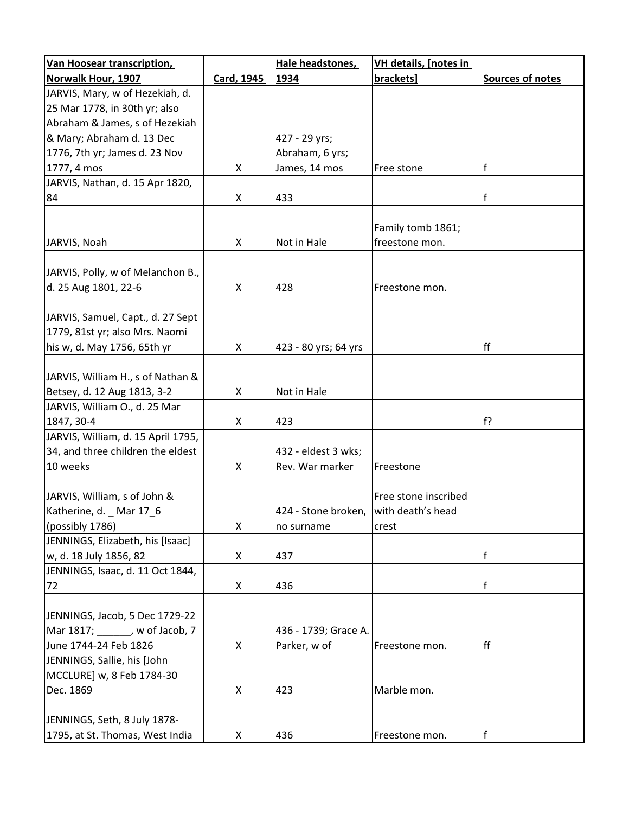| Van Hoosear transcription,         |                   | Hale headstones,                      | VH details, [notes in |                         |
|------------------------------------|-------------------|---------------------------------------|-----------------------|-------------------------|
| Norwalk Hour, 1907                 | <b>Card, 1945</b> | 1934                                  | brackets]             | <b>Sources of notes</b> |
| JARVIS, Mary, w of Hezekiah, d.    |                   |                                       |                       |                         |
| 25 Mar 1778, in 30th yr; also      |                   |                                       |                       |                         |
| Abraham & James, s of Hezekiah     |                   |                                       |                       |                         |
| & Mary; Abraham d. 13 Dec          |                   | 427 - 29 yrs;                         |                       |                         |
| 1776, 7th yr; James d. 23 Nov      |                   | Abraham, 6 yrs;                       |                       |                         |
| 1777, 4 mos                        | X                 | James, 14 mos                         | Free stone            | f                       |
| JARVIS, Nathan, d. 15 Apr 1820,    |                   |                                       |                       |                         |
| 84                                 | X                 | 433                                   |                       | f                       |
|                                    |                   |                                       |                       |                         |
|                                    |                   |                                       | Family tomb 1861;     |                         |
| JARVIS, Noah                       | X                 | Not in Hale                           | freestone mon.        |                         |
|                                    |                   |                                       |                       |                         |
| JARVIS, Polly, w of Melanchon B.,  |                   |                                       |                       |                         |
| d. 25 Aug 1801, 22-6               | X                 | 428                                   | Freestone mon.        |                         |
|                                    |                   |                                       |                       |                         |
| JARVIS, Samuel, Capt., d. 27 Sept  |                   |                                       |                       |                         |
| 1779, 81st yr; also Mrs. Naomi     |                   |                                       |                       |                         |
| his w, d. May 1756, 65th yr        | X                 | 423 - 80 yrs; 64 yrs                  |                       | ff                      |
|                                    |                   |                                       |                       |                         |
| JARVIS, William H., s of Nathan &  |                   |                                       |                       |                         |
| Betsey, d. 12 Aug 1813, 3-2        | X                 | Not in Hale                           |                       |                         |
| JARVIS, William O., d. 25 Mar      |                   |                                       |                       |                         |
| 1847, 30-4                         | X                 | 423                                   |                       | f?                      |
| JARVIS, William, d. 15 April 1795, |                   |                                       |                       |                         |
| 34, and three children the eldest  |                   | 432 - eldest 3 wks;                   |                       |                         |
| 10 weeks                           | X                 | Rev. War marker                       | Freestone             |                         |
|                                    |                   |                                       |                       |                         |
| JARVIS, William, s of John &       |                   |                                       | Free stone inscribed  |                         |
| Katherine, d. Mar 17 6             |                   | 424 - Stone broken, with death's head |                       |                         |
| (possibly 1786)                    | X                 | no surname                            | crest                 |                         |
| JENNINGS, Elizabeth, his [Isaac]   |                   |                                       |                       |                         |
| w, d. 18 July 1856, 82             | X                 | 437                                   |                       | f                       |
| JENNINGS, Isaac, d. 11 Oct 1844,   |                   |                                       |                       |                         |
| 72                                 | X                 | 436                                   |                       | $\mathsf{f}$            |
|                                    |                   |                                       |                       |                         |
| JENNINGS, Jacob, 5 Dec 1729-22     |                   |                                       |                       |                         |
| Mar 1817; ______, w of Jacob, 7    |                   | 436 - 1739; Grace A.                  |                       |                         |
| June 1744-24 Feb 1826              | X                 | Parker, w of                          | Freestone mon.        | ff                      |
| JENNINGS, Sallie, his [John        |                   |                                       |                       |                         |
| MCCLURE] w, 8 Feb 1784-30          |                   |                                       |                       |                         |
| Dec. 1869                          | X                 | 423                                   | Marble mon.           |                         |
|                                    |                   |                                       |                       |                         |
| JENNINGS, Seth, 8 July 1878-       |                   |                                       |                       |                         |
| 1795, at St. Thomas, West India    | X                 | 436                                   | Freestone mon.        | f                       |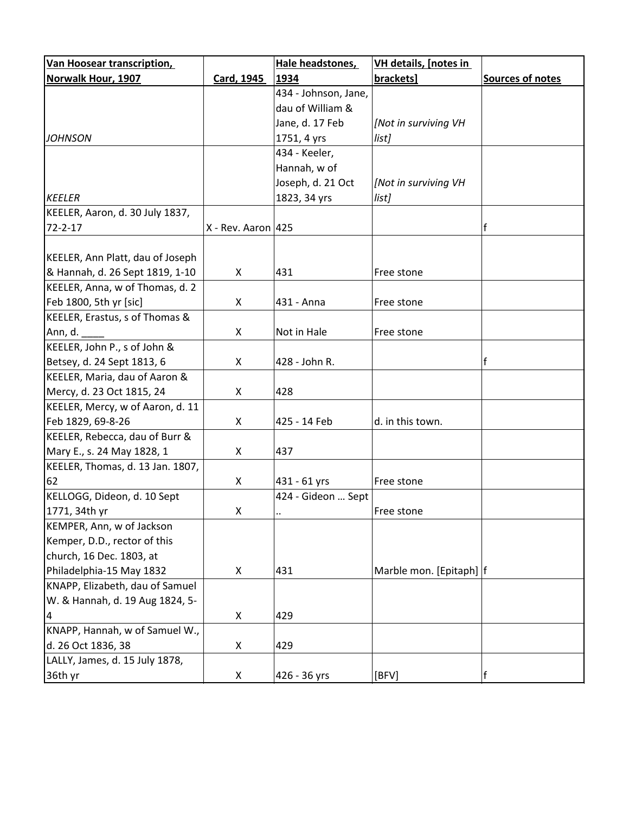| Van Hoosear transcription,       |                      | Hale headstones,     | <b>VH details, [notes in</b> |                  |
|----------------------------------|----------------------|----------------------|------------------------------|------------------|
| <b>Norwalk Hour, 1907</b>        | Card, 1945           | 1934                 | brackets]                    | Sources of notes |
|                                  |                      | 434 - Johnson, Jane, |                              |                  |
|                                  |                      | dau of William &     |                              |                  |
|                                  |                      | Jane, d. 17 Feb      | [Not in surviving VH         |                  |
| <b>JOHNSON</b>                   |                      | 1751, 4 yrs          | list]                        |                  |
|                                  |                      | 434 - Keeler,        |                              |                  |
|                                  |                      | Hannah, w of         |                              |                  |
|                                  |                      | Joseph, d. 21 Oct    | [Not in surviving VH         |                  |
| <b>KEELER</b>                    |                      | 1823, 34 yrs         | list]                        |                  |
| KEELER, Aaron, d. 30 July 1837,  |                      |                      |                              |                  |
| $72 - 2 - 17$                    | $X - Rev.$ Aaron 425 |                      |                              | $\mathsf{f}$     |
|                                  |                      |                      |                              |                  |
| KEELER, Ann Platt, dau of Joseph |                      |                      |                              |                  |
| & Hannah, d. 26 Sept 1819, 1-10  | X                    | 431                  | Free stone                   |                  |
| KEELER, Anna, w of Thomas, d. 2  |                      |                      |                              |                  |
| Feb 1800, 5th yr [sic]           | X                    | 431 - Anna           | Free stone                   |                  |
| KEELER, Erastus, s of Thomas &   |                      |                      |                              |                  |
| Ann, d.                          | X                    | Not in Hale          | Free stone                   |                  |
| KEELER, John P., s of John &     |                      |                      |                              |                  |
| Betsey, d. 24 Sept 1813, 6       | X                    | 428 - John R.        |                              | f                |
| KEELER, Maria, dau of Aaron &    |                      |                      |                              |                  |
| Mercy, d. 23 Oct 1815, 24        | X                    | 428                  |                              |                  |
| KEELER, Mercy, w of Aaron, d. 11 |                      |                      |                              |                  |
| Feb 1829, 69-8-26                | X                    | 425 - 14 Feb         | d. in this town.             |                  |
| KEELER, Rebecca, dau of Burr &   |                      |                      |                              |                  |
| Mary E., s. 24 May 1828, 1       | X                    | 437                  |                              |                  |
| KEELER, Thomas, d. 13 Jan. 1807, |                      |                      |                              |                  |
| 62                               | X                    | 431 - 61 yrs         | Free stone                   |                  |
| KELLOGG, Dideon, d. 10 Sept      |                      | 424 - Gideon  Sept   |                              |                  |
| 1771, 34th yr                    | X                    | $\ddotsc$            | Free stone                   |                  |
| KEMPER, Ann, w of Jackson        |                      |                      |                              |                  |
| Kemper, D.D., rector of this     |                      |                      |                              |                  |
| church, 16 Dec. 1803, at         |                      |                      |                              |                  |
| Philadelphia-15 May 1832         | X                    | 431                  | Marble mon. [Epitaph]  f     |                  |
| KNAPP, Elizabeth, dau of Samuel  |                      |                      |                              |                  |
| W. & Hannah, d. 19 Aug 1824, 5-  |                      |                      |                              |                  |
| 4                                | X                    | 429                  |                              |                  |
| KNAPP, Hannah, w of Samuel W.,   |                      |                      |                              |                  |
| d. 26 Oct 1836, 38               | X                    | 429                  |                              |                  |
| LALLY, James, d. 15 July 1878,   |                      |                      |                              |                  |
| 36th yr                          | X                    | 426 - 36 yrs         | [BFV]                        | f                |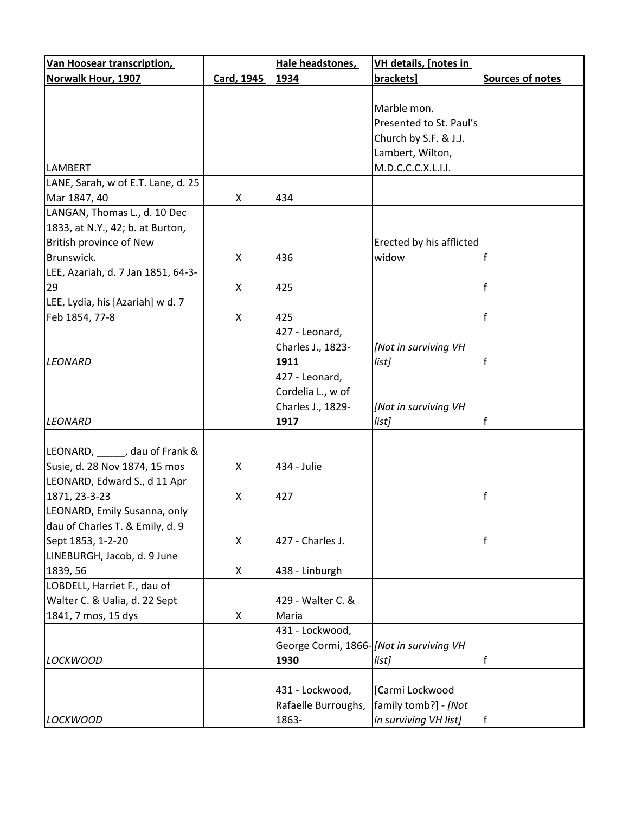| <b>Van Hoosear transcription,</b>  |            | Hale headstones,                        | <b>VH details, [notes in</b> |                  |
|------------------------------------|------------|-----------------------------------------|------------------------------|------------------|
| <b>Norwalk Hour, 1907</b>          | Card, 1945 | 1934                                    | brackets]                    | Sources of notes |
|                                    |            |                                         |                              |                  |
|                                    |            |                                         | Marble mon.                  |                  |
|                                    |            |                                         | Presented to St. Paul's      |                  |
|                                    |            |                                         | Church by S.F. & J.J.        |                  |
|                                    |            |                                         | Lambert, Wilton,             |                  |
| <b>LAMBERT</b>                     |            |                                         | M.D.C.C.C.X.L.I.I.           |                  |
| LANE, Sarah, w of E.T. Lane, d. 25 |            |                                         |                              |                  |
| Mar 1847, 40                       | X          | 434                                     |                              |                  |
| LANGAN, Thomas L., d. 10 Dec       |            |                                         |                              |                  |
| 1833, at N.Y., 42; b. at Burton,   |            |                                         |                              |                  |
| British province of New            |            |                                         | Erected by his afflicted     |                  |
| Brunswick.                         | X          | 436                                     | widow                        |                  |
| LEE, Azariah, d. 7 Jan 1851, 64-3- |            |                                         |                              |                  |
|                                    |            |                                         |                              |                  |
| 29                                 | X          | 425                                     |                              | f                |
| LEE, Lydia, his [Azariah] w d. 7   |            |                                         |                              |                  |
| Feb 1854, 77-8                     | X          | 425                                     |                              | f                |
|                                    |            | 427 - Leonard,                          |                              |                  |
|                                    |            | Charles J., 1823-                       | [Not in surviving VH         |                  |
| <b>LEONARD</b>                     |            | 1911                                    | list]                        |                  |
|                                    |            | 427 - Leonard,                          |                              |                  |
|                                    |            | Cordelia L., w of                       |                              |                  |
|                                    |            | Charles J., 1829-                       | [Not in surviving VH         |                  |
| <b>LEONARD</b>                     |            | 1917                                    | list]                        | f                |
|                                    |            |                                         |                              |                  |
| LEONARD, dau of Frank &            |            |                                         |                              |                  |
| Susie, d. 28 Nov 1874, 15 mos      | X          | 434 - Julie                             |                              |                  |
| LEONARD, Edward S., d 11 Apr       |            |                                         |                              |                  |
| 1871, 23-3-23                      | X          | 427                                     |                              | f                |
| LEONARD, Emily Susanna, only       |            |                                         |                              |                  |
| dau of Charles T. & Emily, d. 9    |            |                                         |                              |                  |
| Sept 1853, 1-2-20                  | X          | 427 - Charles J.                        |                              | f                |
| LINEBURGH, Jacob, d. 9 June        |            |                                         |                              |                  |
| 1839, 56                           | X          | 438 - Linburgh                          |                              |                  |
| LOBDELL, Harriet F., dau of        |            |                                         |                              |                  |
| Walter C. & Ualia, d. 22 Sept      |            | 429 - Walter C. &                       |                              |                  |
| 1841, 7 mos, 15 dys                | X          | Maria                                   |                              |                  |
|                                    |            | 431 - Lockwood,                         |                              |                  |
|                                    |            | George Cormi, 1866-[Not in surviving VH |                              |                  |
|                                    |            |                                         |                              |                  |
| <b>LOCKWOOD</b>                    |            | 1930                                    | list]                        |                  |
|                                    |            |                                         |                              |                  |
|                                    |            | 431 - Lockwood,                         | [Carmi Lockwood              |                  |
|                                    |            | Rafaelle Burroughs,                     | family tomb?] - [Not]        |                  |
| <b>LOCKWOOD</b>                    |            | 1863-                                   | in surviving VH list]        | f                |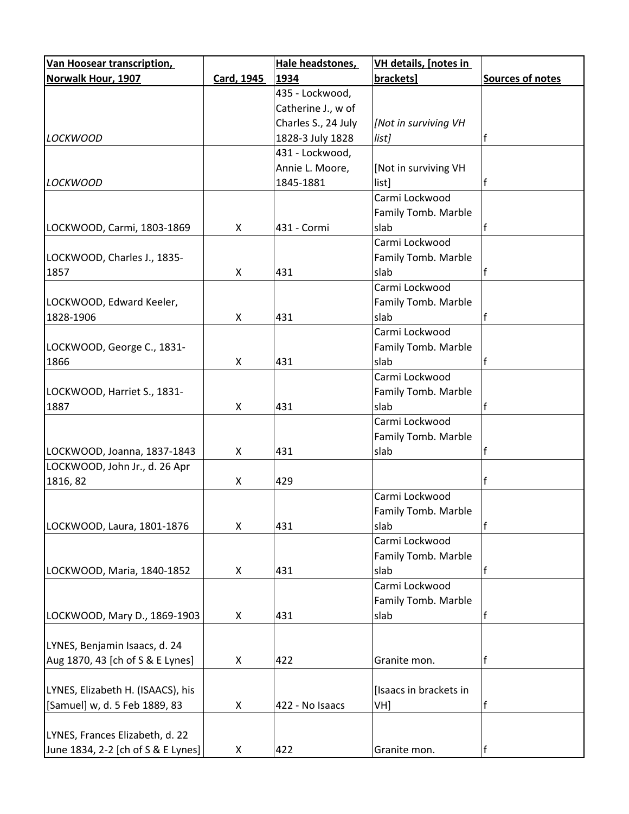| Van Hoosear transcription,         |            | Hale headstones,    | <b>VH details, [notes in</b> |                  |
|------------------------------------|------------|---------------------|------------------------------|------------------|
| Norwalk Hour, 1907                 | Card, 1945 | 1934                | brackets]                    | Sources of notes |
|                                    |            | 435 - Lockwood,     |                              |                  |
|                                    |            | Catherine J., w of  |                              |                  |
|                                    |            | Charles S., 24 July | [Not in surviving VH         |                  |
| <b>LOCKWOOD</b>                    |            | 1828-3 July 1828    | list]                        | f                |
|                                    |            | 431 - Lockwood,     |                              |                  |
|                                    |            | Annie L. Moore,     | [Not in surviving VH         |                  |
| <b>LOCKWOOD</b>                    |            | 1845-1881           | list]                        | f                |
|                                    |            |                     | Carmi Lockwood               |                  |
|                                    |            |                     | Family Tomb. Marble          |                  |
| LOCKWOOD, Carmi, 1803-1869         | X          | 431 - Cormi         | slab                         | f                |
|                                    |            |                     | Carmi Lockwood               |                  |
| LOCKWOOD, Charles J., 1835-        |            |                     | Family Tomb. Marble          |                  |
| 1857                               | X          | 431                 | slab                         |                  |
|                                    |            |                     | Carmi Lockwood               |                  |
| LOCKWOOD, Edward Keeler,           |            |                     | Family Tomb. Marble          |                  |
| 1828-1906                          | X          | 431                 | slab                         |                  |
|                                    |            |                     | Carmi Lockwood               |                  |
| LOCKWOOD, George C., 1831-         |            |                     | Family Tomb. Marble          |                  |
| 1866                               | X          | 431                 | slab                         |                  |
|                                    |            |                     | Carmi Lockwood               |                  |
| LOCKWOOD, Harriet S., 1831-        |            |                     | Family Tomb. Marble          |                  |
| 1887                               | X          | 431                 | slab                         |                  |
|                                    |            |                     | Carmi Lockwood               |                  |
|                                    |            |                     | Family Tomb. Marble          |                  |
| LOCKWOOD, Joanna, 1837-1843        | X          | 431                 | slab                         |                  |
| LOCKWOOD, John Jr., d. 26 Apr      |            |                     |                              |                  |
| 1816, 82                           | X          | 429                 |                              |                  |
|                                    |            |                     | Carmi Lockwood               |                  |
|                                    |            |                     | Family Tomb. Marble          |                  |
| LOCKWOOD, Laura, 1801-1876         | X          | 431                 | slab                         | f                |
|                                    |            |                     | Carmi Lockwood               |                  |
|                                    |            |                     | Family Tomb. Marble          |                  |
| LOCKWOOD, Maria, 1840-1852         | X          | 431                 | slab                         | f                |
|                                    |            |                     | Carmi Lockwood               |                  |
|                                    |            |                     | Family Tomb. Marble          |                  |
| LOCKWOOD, Mary D., 1869-1903       | X          | 431                 | slab                         |                  |
|                                    |            |                     |                              |                  |
| LYNES, Benjamin Isaacs, d. 24      |            |                     |                              |                  |
| Aug 1870, 43 [ch of S & E Lynes]   | X          | 422                 | Granite mon.                 | f                |
|                                    |            |                     |                              |                  |
| LYNES, Elizabeth H. (ISAACS), his  |            |                     | [Isaacs in brackets in       |                  |
| [Samuel] w, d. 5 Feb 1889, 83      | X          | 422 - No Isaacs     | VH]                          | f                |
|                                    |            |                     |                              |                  |
| LYNES, Frances Elizabeth, d. 22    |            |                     |                              |                  |
| June 1834, 2-2 [ch of S & E Lynes] | X          | 422                 | Granite mon.                 | f                |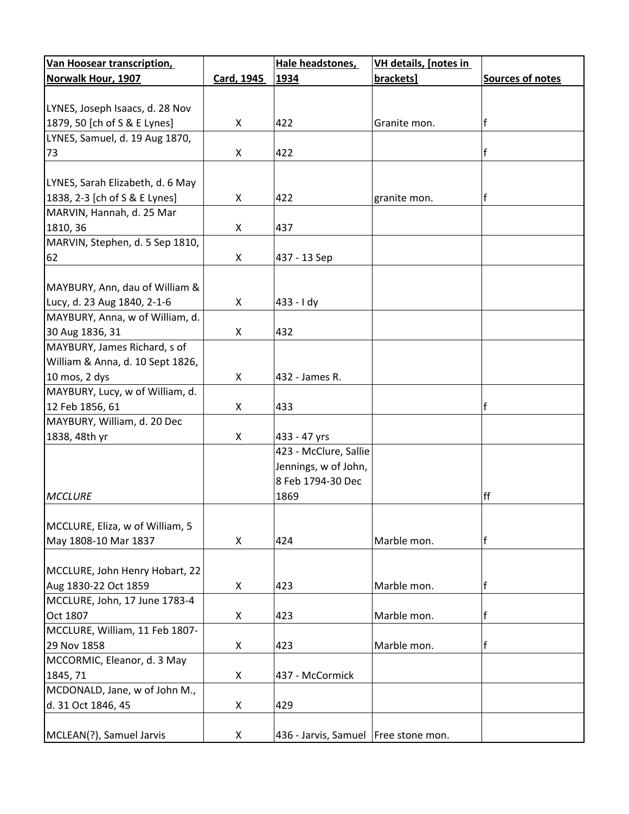| <b>Van Hoosear transcription,</b>                  |            | Hale headstones,                       | VH details, [notes in |                  |
|----------------------------------------------------|------------|----------------------------------------|-----------------------|------------------|
| Norwalk Hour, 1907                                 | Card, 1945 | 1934                                   | brackets]             | Sources of notes |
|                                                    |            |                                        |                       |                  |
| LYNES, Joseph Isaacs, d. 28 Nov                    |            |                                        |                       |                  |
| 1879, 50 [ch of S & E Lynes]                       | X          | 422                                    | Granite mon.          | f                |
| LYNES, Samuel, d. 19 Aug 1870,                     |            |                                        |                       |                  |
| 73                                                 | X          | 422                                    |                       | f                |
|                                                    |            |                                        |                       |                  |
| LYNES, Sarah Elizabeth, d. 6 May                   |            |                                        |                       |                  |
| 1838, 2-3 [ch of S & E Lynes]                      | X          | 422                                    | granite mon.          | f                |
| MARVIN, Hannah, d. 25 Mar                          |            |                                        |                       |                  |
| 1810, 36                                           | X          | 437                                    |                       |                  |
| MARVIN, Stephen, d. 5 Sep 1810,                    |            |                                        |                       |                  |
| 62                                                 | X          | 437 - 13 Sep                           |                       |                  |
|                                                    |            |                                        |                       |                  |
| MAYBURY, Ann, dau of William &                     |            |                                        |                       |                  |
| Lucy, d. 23 Aug 1840, 2-1-6                        | X          | $433 - 1 dy$                           |                       |                  |
| MAYBURY, Anna, w of William, d.                    |            |                                        |                       |                  |
| 30 Aug 1836, 31                                    | X          | 432                                    |                       |                  |
| MAYBURY, James Richard, s of                       |            |                                        |                       |                  |
| William & Anna, d. 10 Sept 1826,                   |            |                                        |                       |                  |
| 10 mos, 2 dys                                      | X          | 432 - James R.                         |                       |                  |
|                                                    |            |                                        |                       |                  |
| MAYBURY, Lucy, w of William, d.<br>12 Feb 1856, 61 | X          |                                        |                       | f                |
|                                                    |            | 433                                    |                       |                  |
| MAYBURY, William, d. 20 Dec                        |            |                                        |                       |                  |
| 1838, 48th yr                                      | X          | 433 - 47 yrs                           |                       |                  |
|                                                    |            | 423 - McClure, Sallie                  |                       |                  |
|                                                    |            | Jennings, w of John,                   |                       |                  |
|                                                    |            | 8 Feb 1794-30 Dec                      |                       |                  |
| <b>MCCLURE</b>                                     |            | 1869                                   |                       | ff               |
|                                                    |            |                                        |                       |                  |
| MCCLURE, Eliza, w of William, 5                    |            |                                        |                       |                  |
| May 1808-10 Mar 1837                               | X          | 424                                    | Marble mon.           | f                |
|                                                    |            |                                        |                       |                  |
| MCCLURE, John Henry Hobart, 22                     |            |                                        |                       |                  |
| Aug 1830-22 Oct 1859                               | X          | 423                                    | Marble mon.           | f                |
| MCCLURE, John, 17 June 1783-4                      |            |                                        |                       |                  |
| Oct 1807                                           | X          | 423                                    | Marble mon.           | f                |
| MCCLURE, William, 11 Feb 1807-                     |            |                                        |                       |                  |
| 29 Nov 1858                                        | X          | 423                                    | Marble mon.           | f                |
| MCCORMIC, Eleanor, d. 3 May                        |            |                                        |                       |                  |
| 1845, 71                                           | X          | 437 - McCormick                        |                       |                  |
| MCDONALD, Jane, w of John M.,                      |            |                                        |                       |                  |
| d. 31 Oct 1846, 45                                 | X          | 429                                    |                       |                  |
|                                                    |            |                                        |                       |                  |
| MCLEAN(?), Samuel Jarvis                           | X          | 436 - Jarvis, Samuel   Free stone mon. |                       |                  |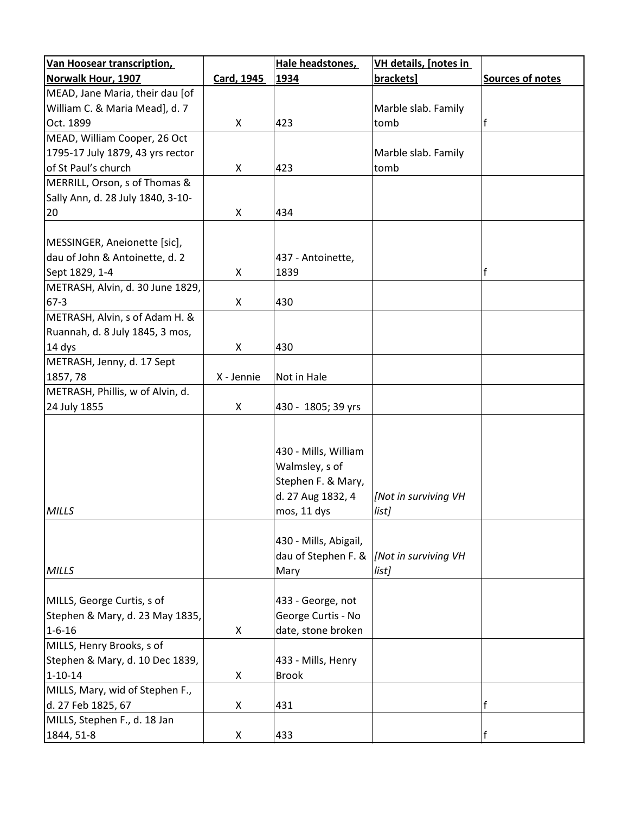| <b>Van Hoosear transcription,</b> |            | Hale headstones,      | VH details, [notes in |                  |
|-----------------------------------|------------|-----------------------|-----------------------|------------------|
| <b>Norwalk Hour, 1907</b>         | Card, 1945 | 1934                  | brackets]             | Sources of notes |
| MEAD, Jane Maria, their dau [of   |            |                       |                       |                  |
| William C. & Maria Mead], d. 7    |            |                       | Marble slab. Family   |                  |
| Oct. 1899                         | X          | 423                   | tomb                  |                  |
| MEAD, William Cooper, 26 Oct      |            |                       |                       |                  |
| 1795-17 July 1879, 43 yrs rector  |            |                       | Marble slab. Family   |                  |
| of St Paul's church               | X          | 423                   | tomb                  |                  |
| MERRILL, Orson, s of Thomas &     |            |                       |                       |                  |
| Sally Ann, d. 28 July 1840, 3-10- |            |                       |                       |                  |
| 20                                | X          | 434                   |                       |                  |
|                                   |            |                       |                       |                  |
| MESSINGER, Aneionette [sic],      |            |                       |                       |                  |
| dau of John & Antoinette, d. 2    |            | 437 - Antoinette,     |                       |                  |
| Sept 1829, 1-4                    | X          | 1839                  |                       | f                |
| METRASH, Alvin, d. 30 June 1829,  |            |                       |                       |                  |
| $67-3$                            | X          | 430                   |                       |                  |
| METRASH, Alvin, s of Adam H. &    |            |                       |                       |                  |
| Ruannah, d. 8 July 1845, 3 mos,   |            |                       |                       |                  |
|                                   |            | 430                   |                       |                  |
| 14 dys                            | X          |                       |                       |                  |
| METRASH, Jenny, d. 17 Sept        |            |                       |                       |                  |
| 1857, 78                          | X - Jennie | Not in Hale           |                       |                  |
| METRASH, Phillis, w of Alvin, d.  |            |                       |                       |                  |
| 24 July 1855                      | X          | 430 - 1805; 39 yrs    |                       |                  |
|                                   |            |                       |                       |                  |
|                                   |            |                       |                       |                  |
|                                   |            | 430 - Mills, William  |                       |                  |
|                                   |            | Walmsley, s of        |                       |                  |
|                                   |            | Stephen F. & Mary,    |                       |                  |
|                                   |            | d. 27 Aug 1832, 4     | [Not in surviving VH  |                  |
| <b>MILLS</b>                      |            | mos, 11 dys           | list]                 |                  |
|                                   |            |                       |                       |                  |
|                                   |            | 430 - Mills, Abigail, |                       |                  |
|                                   |            | dau of Stephen F. &   | [Not in surviving VH  |                  |
| <b>MILLS</b>                      |            | Mary                  | list]                 |                  |
|                                   |            |                       |                       |                  |
| MILLS, George Curtis, s of        |            | 433 - George, not     |                       |                  |
| Stephen & Mary, d. 23 May 1835,   |            | George Curtis - No    |                       |                  |
| $1 - 6 - 16$                      | X          | date, stone broken    |                       |                  |
| MILLS, Henry Brooks, s of         |            |                       |                       |                  |
| Stephen & Mary, d. 10 Dec 1839,   |            | 433 - Mills, Henry    |                       |                  |
| $1 - 10 - 14$                     | X          | <b>Brook</b>          |                       |                  |
| MILLS, Mary, wid of Stephen F.,   |            |                       |                       |                  |
| d. 27 Feb 1825, 67                | X          | 431                   |                       | f                |
| MILLS, Stephen F., d. 18 Jan      |            |                       |                       |                  |
| 1844, 51-8                        | X          | 433                   |                       | f                |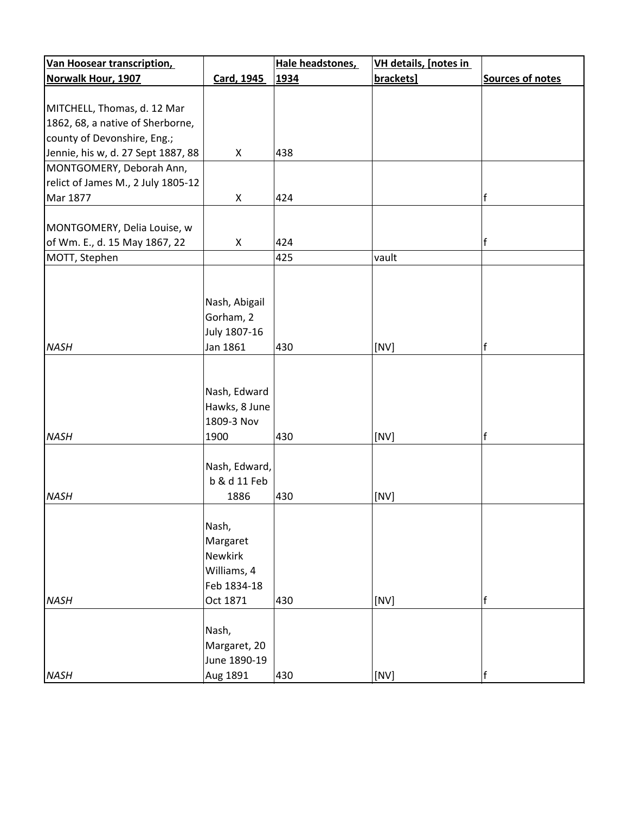| <b>Van Hoosear transcription</b>   |               | Hale headstones, | VH details, [notes in |                         |
|------------------------------------|---------------|------------------|-----------------------|-------------------------|
| Norwalk Hour, 1907                 | Card, 1945    | 1934             | brackets]             | <b>Sources of notes</b> |
|                                    |               |                  |                       |                         |
| MITCHELL, Thomas, d. 12 Mar        |               |                  |                       |                         |
| 1862, 68, a native of Sherborne,   |               |                  |                       |                         |
| county of Devonshire, Eng.;        |               |                  |                       |                         |
| Jennie, his w, d. 27 Sept 1887, 88 | X             | 438              |                       |                         |
| MONTGOMERY, Deborah Ann,           |               |                  |                       |                         |
| relict of James M., 2 July 1805-12 |               |                  |                       |                         |
| Mar 1877                           | X             | 424              |                       | f                       |
|                                    |               |                  |                       |                         |
| MONTGOMERY, Delia Louise, w        |               |                  |                       |                         |
| of Wm. E., d. 15 May 1867, 22      | X             | 424              |                       | f                       |
| MOTT, Stephen                      |               | 425              | vault                 |                         |
|                                    |               |                  |                       |                         |
|                                    |               |                  |                       |                         |
|                                    | Nash, Abigail |                  |                       |                         |
|                                    | Gorham, 2     |                  |                       |                         |
|                                    | July 1807-16  |                  |                       |                         |
| <b>NASH</b>                        | Jan 1861      | 430              | [NV]                  | $\mathsf{f}$            |
|                                    |               |                  |                       |                         |
|                                    |               |                  |                       |                         |
|                                    | Nash, Edward  |                  |                       |                         |
|                                    | Hawks, 8 June |                  |                       |                         |
|                                    | 1809-3 Nov    |                  |                       |                         |
| <b>NASH</b>                        | 1900          | 430              | [NV]                  | $\mathsf{f}$            |
|                                    |               |                  |                       |                         |
|                                    | Nash, Edward, |                  |                       |                         |
|                                    | b & d 11 Feb  |                  |                       |                         |
|                                    |               | 430              |                       |                         |
| <b>NASH</b>                        | 1886          |                  | [NV]                  |                         |
|                                    |               |                  |                       |                         |
|                                    | Nash,         |                  |                       |                         |
|                                    | Margaret      |                  |                       |                         |
|                                    | Newkirk       |                  |                       |                         |
|                                    | Williams, 4   |                  |                       |                         |
|                                    | Feb 1834-18   |                  |                       |                         |
| <b>NASH</b>                        | Oct 1871      | 430              | [NV]                  | $\mathsf f$             |
|                                    |               |                  |                       |                         |
|                                    | Nash,         |                  |                       |                         |
|                                    | Margaret, 20  |                  |                       |                         |
|                                    | June 1890-19  |                  |                       |                         |
| <b>NASH</b>                        | Aug 1891      | 430              | [NV]                  | f                       |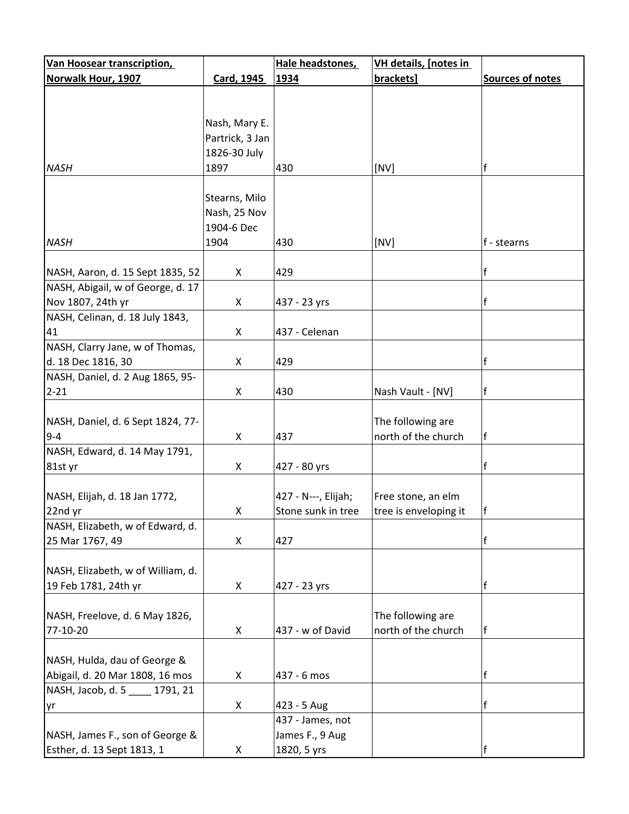| <b>Van Hoosear transcription,</b> |                 | Hale headstones,    | VH details, [notes in |                  |
|-----------------------------------|-----------------|---------------------|-----------------------|------------------|
| Norwalk Hour, 1907                | Card, 1945      | 1934                | brackets]             | Sources of notes |
|                                   |                 |                     |                       |                  |
|                                   |                 |                     |                       |                  |
|                                   | Nash, Mary E.   |                     |                       |                  |
|                                   | Partrick, 3 Jan |                     |                       |                  |
|                                   | 1826-30 July    |                     |                       |                  |
| <b>NASH</b>                       | 1897            | 430                 | [NV]                  | f                |
|                                   |                 |                     |                       |                  |
|                                   | Stearns, Milo   |                     |                       |                  |
|                                   | Nash, 25 Nov    |                     |                       |                  |
|                                   | 1904-6 Dec      |                     |                       |                  |
| <b>NASH</b>                       | 1904            | 430                 | [NV]                  | f - stearns      |
|                                   |                 |                     |                       |                  |
| NASH, Aaron, d. 15 Sept 1835, 52  | X               | 429                 |                       |                  |
| NASH, Abigail, w of George, d. 17 |                 |                     |                       |                  |
| Nov 1807, 24th yr                 | X               | 437 - 23 yrs        |                       | f                |
| NASH, Celinan, d. 18 July 1843,   |                 |                     |                       |                  |
| 41                                | X               | 437 - Celenan       |                       |                  |
| NASH, Clarry Jane, w of Thomas,   |                 |                     |                       |                  |
| d. 18 Dec 1816, 30                | X               | 429                 |                       | f                |
| NASH, Daniel, d. 2 Aug 1865, 95-  |                 |                     |                       |                  |
| $2 - 21$                          | X               | 430                 | Nash Vault - [NV]     | f                |
|                                   |                 |                     |                       |                  |
| NASH, Daniel, d. 6 Sept 1824, 77- |                 |                     | The following are     |                  |
| $9 - 4$                           | X               | 437                 | north of the church   | f                |
| NASH, Edward, d. 14 May 1791,     |                 |                     |                       |                  |
| 81st yr                           | X               | 427 - 80 yrs        |                       | f                |
|                                   |                 |                     |                       |                  |
| NASH, Elijah, d. 18 Jan 1772,     |                 | 427 - N---, Elijah; | Free stone, an elm    |                  |
| 22nd yr                           | X               | Stone sunk in tree  | tree is enveloping it | f                |
| NASH, Elizabeth, w of Edward, d.  |                 |                     |                       |                  |
| 25 Mar 1767, 49                   | X               | 427                 |                       | f                |
|                                   |                 |                     |                       |                  |
| NASH, Elizabeth, w of William, d. |                 |                     |                       |                  |
| 19 Feb 1781, 24th yr              | X               | 427 - 23 yrs        |                       | f                |
|                                   |                 |                     |                       |                  |
| NASH, Freelove, d. 6 May 1826,    |                 |                     | The following are     |                  |
| 77-10-20                          | X               | 437 - w of David    | north of the church   | f                |
|                                   |                 |                     |                       |                  |
| NASH, Hulda, dau of George &      |                 |                     |                       |                  |
| Abigail, d. 20 Mar 1808, 16 mos   | X               | 437 - 6 mos         |                       | f                |
| NASH, Jacob, d. 5<br>1791, 21     |                 |                     |                       |                  |
| yr                                | X               | 423 - 5 Aug         |                       | f                |
|                                   |                 | 437 - James, not    |                       |                  |
| NASH, James F., son of George &   |                 | James F., 9 Aug     |                       |                  |
| Esther, d. 13 Sept 1813, 1        | X               | 1820, 5 yrs         |                       | f                |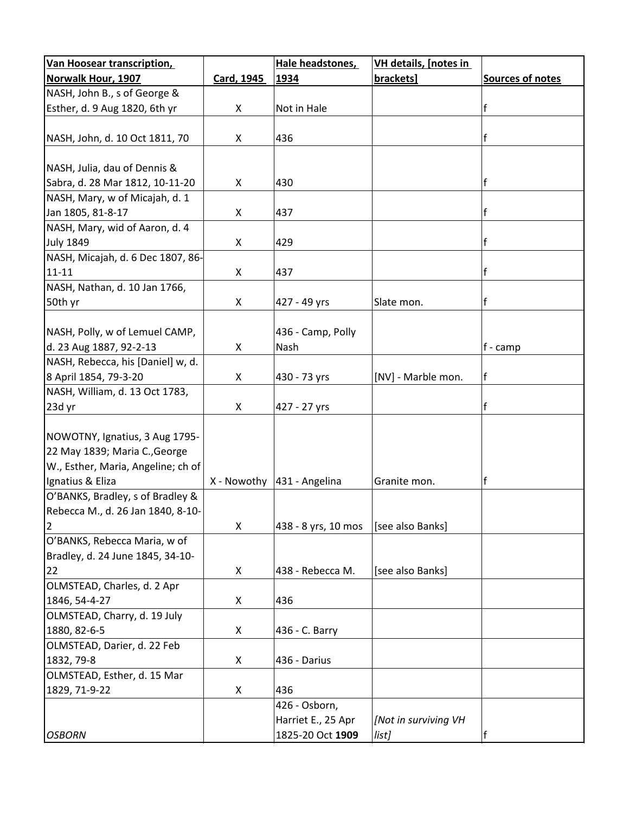| <b>Van Hoosear transcription,</b>  |            | Hale headstones,              | VH details, [notes in |                     |
|------------------------------------|------------|-------------------------------|-----------------------|---------------------|
| Norwalk Hour, 1907                 | Card, 1945 | 1934                          | brackets]             | Sources of notes    |
| NASH, John B., s of George &       |            |                               |                       |                     |
| Esther, d. 9 Aug 1820, 6th yr      | X          | Not in Hale                   |                       | f                   |
|                                    |            |                               |                       |                     |
| NASH, John, d. 10 Oct 1811, 70     | X          | 436                           |                       | f                   |
|                                    |            |                               |                       |                     |
| NASH, Julia, dau of Dennis &       |            |                               |                       |                     |
| Sabra, d. 28 Mar 1812, 10-11-20    | X          | 430                           |                       | f                   |
| NASH, Mary, w of Micajah, d. 1     |            |                               |                       |                     |
| Jan 1805, 81-8-17                  | X          | 437                           |                       | f                   |
| NASH, Mary, wid of Aaron, d. 4     |            |                               |                       |                     |
| <b>July 1849</b>                   | X          | 429                           |                       | f                   |
| NASH, Micajah, d. 6 Dec 1807, 86-  |            |                               |                       |                     |
| $11 - 11$                          | X          | 437                           |                       |                     |
| NASH, Nathan, d. 10 Jan 1766,      |            |                               |                       |                     |
| 50th yr                            | X          | 427 - 49 yrs                  | Slate mon.            | lf                  |
|                                    |            |                               |                       |                     |
| NASH, Polly, w of Lemuel CAMP,     |            | 436 - Camp, Polly             |                       |                     |
| d. 23 Aug 1887, 92-2-13            | X          | Nash                          |                       | $ f - \text{camp} $ |
| NASH, Rebecca, his [Daniel] w, d.  |            |                               |                       |                     |
| 8 April 1854, 79-3-20              | X          | 430 - 73 yrs                  | [NV] - Marble mon.    | f                   |
| NASH, William, d. 13 Oct 1783,     |            |                               |                       |                     |
| 23d yr                             | X          | 427 - 27 yrs                  |                       | f                   |
|                                    |            |                               |                       |                     |
| NOWOTNY, Ignatius, 3 Aug 1795-     |            |                               |                       |                     |
| 22 May 1839; Maria C., George      |            |                               |                       |                     |
| W., Esther, Maria, Angeline; ch of |            |                               |                       |                     |
| Ignatius & Eliza                   |            | X - Nowothy $ 431$ - Angelina | Granite mon.          | f                   |
| O'BANKS, Bradley, s of Bradley &   |            |                               |                       |                     |
| Rebecca M., d. 26 Jan 1840, 8-10-  |            |                               |                       |                     |
| $\overline{2}$                     | X          | 438 - 8 yrs, 10 mos           | [see also Banks]      |                     |
| O'BANKS, Rebecca Maria, w of       |            |                               |                       |                     |
| Bradley, d. 24 June 1845, 34-10-   |            |                               |                       |                     |
| 22                                 | X          | 438 - Rebecca M.              | [see also Banks]      |                     |
| OLMSTEAD, Charles, d. 2 Apr        |            |                               |                       |                     |
| 1846, 54-4-27                      | X          | 436                           |                       |                     |
| OLMSTEAD, Charry, d. 19 July       |            |                               |                       |                     |
| 1880, 82-6-5                       | X          | 436 - C. Barry                |                       |                     |
| OLMSTEAD, Darier, d. 22 Feb        |            |                               |                       |                     |
| 1832, 79-8                         | X          | 436 - Darius                  |                       |                     |
| OLMSTEAD, Esther, d. 15 Mar        |            |                               |                       |                     |
| 1829, 71-9-22                      | X          | 436                           |                       |                     |
|                                    |            | 426 - Osborn,                 |                       |                     |
|                                    |            | Harriet E., 25 Apr            | [Not in surviving VH  |                     |
| <b>OSBORN</b>                      |            | 1825-20 Oct 1909              | list]                 |                     |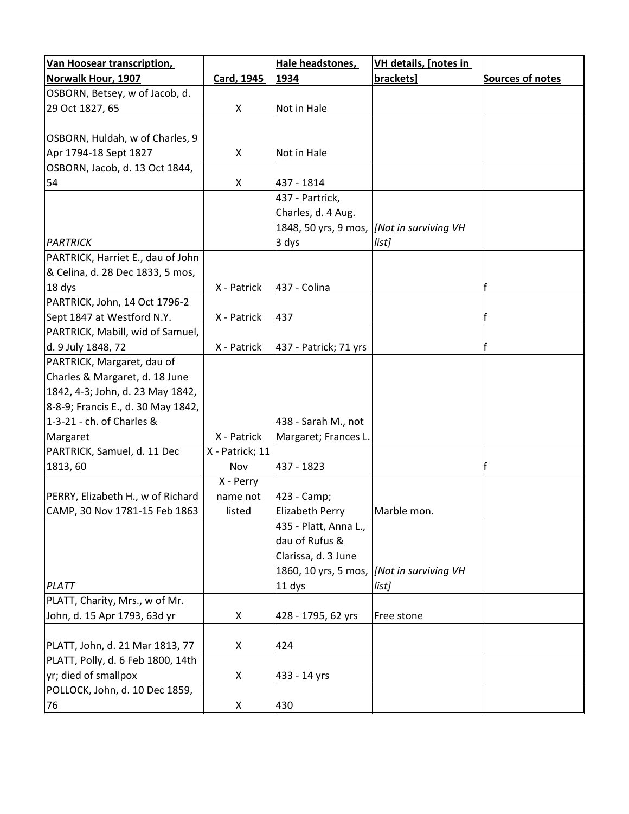| Van Hoosear transcription,         |                 | Hale headstones,       | <b>VH details, [notes in</b>                |                         |
|------------------------------------|-----------------|------------------------|---------------------------------------------|-------------------------|
| <b>Norwalk Hour, 1907</b>          | Card, 1945      | 1934                   | brackets]                                   | <b>Sources of notes</b> |
| OSBORN, Betsey, w of Jacob, d.     |                 |                        |                                             |                         |
| 29 Oct 1827, 65                    | X               | Not in Hale            |                                             |                         |
|                                    |                 |                        |                                             |                         |
| OSBORN, Huldah, w of Charles, 9    |                 |                        |                                             |                         |
| Apr 1794-18 Sept 1827              | X               | Not in Hale            |                                             |                         |
| OSBORN, Jacob, d. 13 Oct 1844,     |                 |                        |                                             |                         |
| 54                                 | X               | 437 - 1814             |                                             |                         |
|                                    |                 | 437 - Partrick,        |                                             |                         |
|                                    |                 | Charles, d. 4 Aug.     |                                             |                         |
|                                    |                 |                        | 1848, 50 yrs, 9 mos,  [Not in surviving VH  |                         |
| <b>PARTRICK</b>                    |                 | 3 dys                  | list]                                       |                         |
| PARTRICK, Harriet E., dau of John  |                 |                        |                                             |                         |
| & Celina, d. 28 Dec 1833, 5 mos,   |                 |                        |                                             |                         |
| 18 dys                             | X - Patrick     | 437 - Colina           |                                             | f                       |
| PARTRICK, John, 14 Oct 1796-2      |                 |                        |                                             |                         |
| Sept 1847 at Westford N.Y.         | X - Patrick     | 437                    |                                             | f                       |
| PARTRICK, Mabill, wid of Samuel,   |                 |                        |                                             |                         |
| d. 9 July 1848, 72                 | X - Patrick     | 437 - Patrick; 71 yrs  |                                             | f                       |
| PARTRICK, Margaret, dau of         |                 |                        |                                             |                         |
| Charles & Margaret, d. 18 June     |                 |                        |                                             |                         |
| 1842, 4-3; John, d. 23 May 1842,   |                 |                        |                                             |                         |
| 8-8-9; Francis E., d. 30 May 1842, |                 |                        |                                             |                         |
| 1-3-21 - ch. of Charles &          |                 | 438 - Sarah M., not    |                                             |                         |
| Margaret                           | X - Patrick     | Margaret; Frances L.   |                                             |                         |
| PARTRICK, Samuel, d. 11 Dec        | X - Patrick; 11 |                        |                                             |                         |
| 1813, 60                           | Nov             | 437 - 1823             |                                             | f                       |
|                                    | X - Perry       |                        |                                             |                         |
| PERRY, Elizabeth H., w of Richard  | name not        | 423 - Camp;            |                                             |                         |
| CAMP, 30 Nov 1781-15 Feb 1863      | listed          | <b>Elizabeth Perry</b> | Marble mon.                                 |                         |
|                                    |                 | 435 - Platt, Anna L.,  |                                             |                         |
|                                    |                 | dau of Rufus &         |                                             |                         |
|                                    |                 | Clarissa, d. 3 June    |                                             |                         |
|                                    |                 |                        | 1860, 10 yrs, 5 mos,   [Not in surviving VH |                         |
| PLATT                              |                 | 11 dys                 | list]                                       |                         |
| PLATT, Charity, Mrs., w of Mr.     |                 |                        |                                             |                         |
| John, d. 15 Apr 1793, 63d yr       | X               | 428 - 1795, 62 yrs     | Free stone                                  |                         |
|                                    |                 |                        |                                             |                         |
| PLATT, John, d. 21 Mar 1813, 77    | X               | 424                    |                                             |                         |
| PLATT, Polly, d. 6 Feb 1800, 14th  |                 |                        |                                             |                         |
| yr; died of smallpox               | X               | 433 - 14 yrs           |                                             |                         |
| POLLOCK, John, d. 10 Dec 1859,     |                 |                        |                                             |                         |
| 76                                 | X               | 430                    |                                             |                         |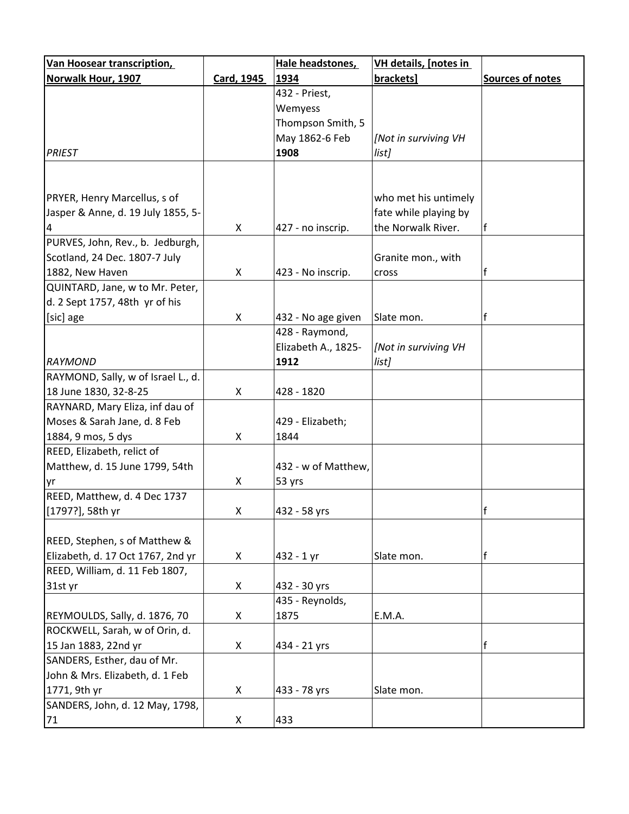| <b>Van Hoosear transcription,</b>  |            | Hale headstones,    | <b>VH details, [notes in</b> |                         |
|------------------------------------|------------|---------------------|------------------------------|-------------------------|
| <b>Norwalk Hour, 1907</b>          | Card, 1945 | 1934                | brackets]                    | <b>Sources of notes</b> |
|                                    |            | 432 - Priest,       |                              |                         |
|                                    |            | Wemyess             |                              |                         |
|                                    |            | Thompson Smith, 5   |                              |                         |
|                                    |            | May 1862-6 Feb      | [Not in surviving VH         |                         |
| <b>PRIEST</b>                      |            | 1908                | list]                        |                         |
|                                    |            |                     |                              |                         |
|                                    |            |                     |                              |                         |
| PRYER, Henry Marcellus, s of       |            |                     | who met his untimely         |                         |
| Jasper & Anne, d. 19 July 1855, 5- |            |                     | fate while playing by        |                         |
| 4                                  | X          | 427 - no inscrip.   | the Norwalk River.           | ١f                      |
| PURVES, John, Rev., b. Jedburgh,   |            |                     |                              |                         |
| Scotland, 24 Dec. 1807-7 July      |            |                     | Granite mon., with           |                         |
| 1882, New Haven                    | X          | 423 - No inscrip.   | cross                        |                         |
| QUINTARD, Jane, w to Mr. Peter,    |            |                     |                              |                         |
| d. 2 Sept 1757, 48th yr of his     |            |                     |                              |                         |
| [sic] age                          | X          | 432 - No age given  | Slate mon.                   | f                       |
|                                    |            | 428 - Raymond,      |                              |                         |
|                                    |            | Elizabeth A., 1825- | [Not in surviving VH         |                         |
| RAYMOND                            |            | 1912                | list]                        |                         |
| RAYMOND, Sally, w of Israel L., d. |            |                     |                              |                         |
| 18 June 1830, 32-8-25              | X          | 428 - 1820          |                              |                         |
| RAYNARD, Mary Eliza, inf dau of    |            |                     |                              |                         |
| Moses & Sarah Jane, d. 8 Feb       |            | 429 - Elizabeth;    |                              |                         |
| 1884, 9 mos, 5 dys                 | X          | 1844                |                              |                         |
| REED, Elizabeth, relict of         |            |                     |                              |                         |
| Matthew, d. 15 June 1799, 54th     |            | 432 - w of Matthew, |                              |                         |
| yr                                 | X          | 53 yrs              |                              |                         |
| REED, Matthew, d. 4 Dec 1737       |            |                     |                              |                         |
| [1797?], 58th yr                   | X          | 432 - 58 yrs        |                              | f                       |
|                                    |            |                     |                              |                         |
| REED, Stephen, s of Matthew &      |            |                     |                              |                         |
| Elizabeth, d. 17 Oct 1767, 2nd yr  | X          | 432 - 1 yr          | Slate mon.                   | f                       |
| REED, William, d. 11 Feb 1807,     |            |                     |                              |                         |
| 31st yr                            | X          | 432 - 30 yrs        |                              |                         |
|                                    |            | 435 - Reynolds,     |                              |                         |
| REYMOULDS, Sally, d. 1876, 70      | X          | 1875                | E.M.A.                       |                         |
| ROCKWELL, Sarah, w of Orin, d.     |            |                     |                              |                         |
| 15 Jan 1883, 22nd yr               | X          | 434 - 21 yrs        |                              | $\mathsf{f}$            |
| SANDERS, Esther, dau of Mr.        |            |                     |                              |                         |
| John & Mrs. Elizabeth, d. 1 Feb    |            |                     |                              |                         |
| 1771, 9th yr                       | X          | 433 - 78 yrs        | Slate mon.                   |                         |
| SANDERS, John, d. 12 May, 1798,    |            |                     |                              |                         |
| 71                                 | X          | 433                 |                              |                         |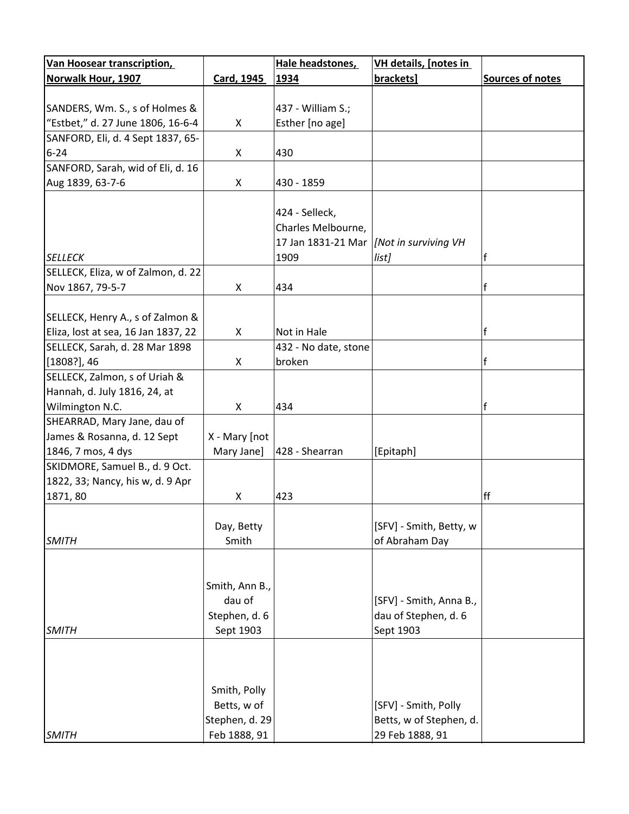| <b>Van Hoosear transcription,</b>   |                | Hale headstones,     | <b>VH details, [notes in</b> |                         |
|-------------------------------------|----------------|----------------------|------------------------------|-------------------------|
| <b>Norwalk Hour, 1907</b>           | Card, 1945     | 1934                 | brackets]                    | <b>Sources of notes</b> |
|                                     |                |                      |                              |                         |
| SANDERS, Wm. S., s of Holmes &      |                | 437 - William S.;    |                              |                         |
| "Estbet," d. 27 June 1806, 16-6-4   | X              | Esther [no age]      |                              |                         |
| SANFORD, Eli, d. 4 Sept 1837, 65-   |                |                      |                              |                         |
| $6 - 24$                            | X              | 430                  |                              |                         |
| SANFORD, Sarah, wid of Eli, d. 16   |                |                      |                              |                         |
| Aug 1839, 63-7-6                    | X              | 430 - 1859           |                              |                         |
|                                     |                |                      |                              |                         |
|                                     |                | 424 - Selleck,       |                              |                         |
|                                     |                | Charles Melbourne,   |                              |                         |
|                                     |                | 17 Jan 1831-21 Mar   | Not in surviving VH          |                         |
| <b>SELLECK</b>                      |                | 1909                 | list]                        | f                       |
| SELLECK, Eliza, w of Zalmon, d. 22  |                |                      |                              |                         |
| Nov 1867, 79-5-7                    | X              | 434                  |                              | $\mathsf{f}$            |
|                                     |                |                      |                              |                         |
| SELLECK, Henry A., s of Zalmon &    |                |                      |                              |                         |
| Eliza, lost at sea, 16 Jan 1837, 22 | X              | Not in Hale          |                              | $\mathsf{f}$            |
| SELLECK, Sarah, d. 28 Mar 1898      |                | 432 - No date, stone |                              |                         |
| $[1808?]$ , 46                      | X              | broken               |                              | f                       |
| SELLECK, Zalmon, s of Uriah &       |                |                      |                              |                         |
| Hannah, d. July 1816, 24, at        |                |                      |                              |                         |
| Wilmington N.C.                     | X              | 434                  |                              | f                       |
| SHEARRAD, Mary Jane, dau of         |                |                      |                              |                         |
| James & Rosanna, d. 12 Sept         | X - Mary [not  |                      |                              |                         |
| 1846, 7 mos, 4 dys                  | Mary Jane]     | 428 - Shearran       | [Epitaph]                    |                         |
| SKIDMORE, Samuel B., d. 9 Oct.      |                |                      |                              |                         |
| 1822, 33; Nancy, his w, d. 9 Apr    |                |                      |                              |                         |
| 1871, 80                            | X              | 423                  |                              | ff                      |
|                                     |                |                      |                              |                         |
|                                     | Day, Betty     |                      | [SFV] - Smith, Betty, w      |                         |
| <b>SMITH</b>                        | Smith          |                      | of Abraham Day               |                         |
|                                     |                |                      |                              |                         |
|                                     |                |                      |                              |                         |
|                                     | Smith, Ann B., |                      |                              |                         |
|                                     | dau of         |                      | [SFV] - Smith, Anna B.,      |                         |
|                                     | Stephen, d. 6  |                      | dau of Stephen, d. 6         |                         |
| <b>SMITH</b>                        | Sept 1903      |                      | Sept 1903                    |                         |
|                                     |                |                      |                              |                         |
|                                     |                |                      |                              |                         |
|                                     |                |                      |                              |                         |
|                                     |                |                      |                              |                         |
|                                     | Smith, Polly   |                      |                              |                         |
|                                     | Betts, w of    |                      | [SFV] - Smith, Polly         |                         |
|                                     | Stephen, d. 29 |                      | Betts, w of Stephen, d.      |                         |
| <b>SMITH</b>                        | Feb 1888, 91   |                      | 29 Feb 1888, 91              |                         |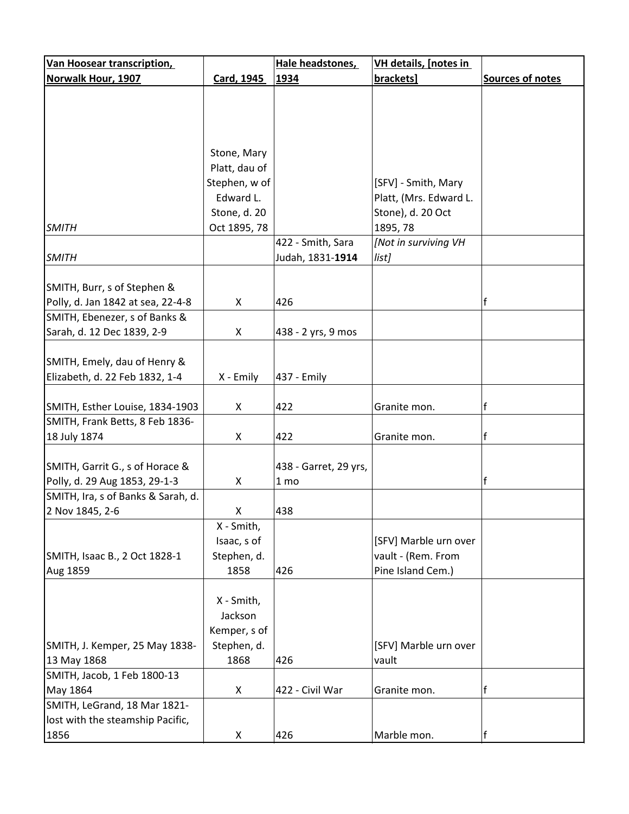| <b>Van Hoosear transcription,</b>  |               | Hale headstones,      | <b>VH details, [notes in</b> |                  |
|------------------------------------|---------------|-----------------------|------------------------------|------------------|
| Norwalk Hour, 1907                 | Card, 1945    | 1934                  | brackets]                    | Sources of notes |
|                                    |               |                       |                              |                  |
|                                    |               |                       |                              |                  |
|                                    |               |                       |                              |                  |
|                                    |               |                       |                              |                  |
|                                    | Stone, Mary   |                       |                              |                  |
|                                    | Platt, dau of |                       |                              |                  |
|                                    | Stephen, w of |                       | [SFV] - Smith, Mary          |                  |
|                                    | Edward L.     |                       | Platt, (Mrs. Edward L.       |                  |
|                                    | Stone, d. 20  |                       | Stone), d. 20 Oct            |                  |
| <b>SMITH</b>                       | Oct 1895, 78  |                       | 1895, 78                     |                  |
|                                    |               | 422 - Smith, Sara     | [Not in surviving VH         |                  |
| <b>SMITH</b>                       |               | Judah, 1831-1914      | list]                        |                  |
|                                    |               |                       |                              |                  |
| SMITH, Burr, s of Stephen &        |               |                       |                              |                  |
| Polly, d. Jan 1842 at sea, 22-4-8  | X             | 426                   |                              | f                |
| SMITH, Ebenezer, s of Banks &      |               |                       |                              |                  |
| Sarah, d. 12 Dec 1839, 2-9         | X             | 438 - 2 yrs, 9 mos    |                              |                  |
|                                    |               |                       |                              |                  |
| SMITH, Emely, dau of Henry &       |               |                       |                              |                  |
| Elizabeth, d. 22 Feb 1832, 1-4     | X - Emily     | 437 - Emily           |                              |                  |
|                                    |               |                       |                              |                  |
| SMITH, Esther Louise, 1834-1903    | X             | 422                   | Granite mon.                 | f                |
| SMITH, Frank Betts, 8 Feb 1836-    |               |                       |                              |                  |
| 18 July 1874                       | X             | 422                   | Granite mon.                 | f                |
|                                    |               |                       |                              |                  |
| SMITH, Garrit G., s of Horace &    |               | 438 - Garret, 29 yrs, |                              |                  |
| Polly, d. 29 Aug 1853, 29-1-3      | X             | 1 <sub>mo</sub>       |                              | f                |
| SMITH, Ira, s of Banks & Sarah, d. |               |                       |                              |                  |
| 2 Nov 1845, 2-6                    | X             | 438                   |                              |                  |
|                                    | X - Smith,    |                       |                              |                  |
|                                    | Isaac, s of   |                       | [SFV] Marble urn over        |                  |
| SMITH, Isaac B., 2 Oct 1828-1      | Stephen, d.   |                       | vault - (Rem. From           |                  |
| Aug 1859                           | 1858          | 426                   | Pine Island Cem.)            |                  |
|                                    |               |                       |                              |                  |
|                                    | X - Smith,    |                       |                              |                  |
|                                    | Jackson       |                       |                              |                  |
|                                    | Kemper, s of  |                       |                              |                  |
| SMITH, J. Kemper, 25 May 1838-     | Stephen, d.   |                       | [SFV] Marble urn over        |                  |
| 13 May 1868                        | 1868          | 426                   | vault                        |                  |
| SMITH, Jacob, 1 Feb 1800-13        |               |                       |                              |                  |
| May 1864                           | X             | 422 - Civil War       | Granite mon.                 | f                |
| SMITH, LeGrand, 18 Mar 1821-       |               |                       |                              |                  |
| lost with the steamship Pacific,   |               |                       |                              |                  |
| 1856                               | X             | 426                   | Marble mon.                  | f                |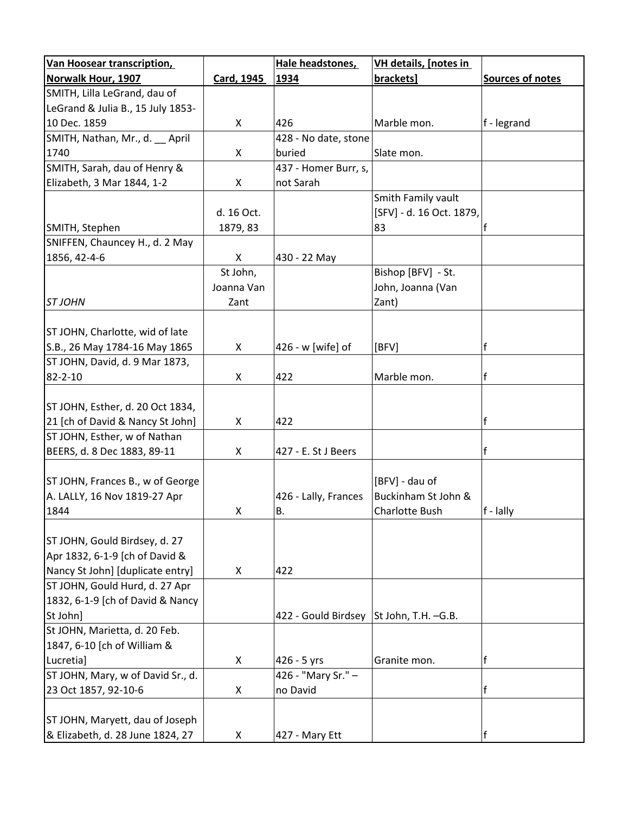| <b>Van Hoosear transcription,</b> |            | Hale headstones,     | <b>VH details, [notes in</b> |                         |
|-----------------------------------|------------|----------------------|------------------------------|-------------------------|
| <b>Norwalk Hour, 1907</b>         | Card, 1945 | 1934                 | brackets]                    | <b>Sources of notes</b> |
| SMITH, Lilla LeGrand, dau of      |            |                      |                              |                         |
| LeGrand & Julia B., 15 July 1853- |            |                      |                              |                         |
| 10 Dec. 1859                      | X          | 426                  | Marble mon.                  | f - legrand             |
| SMITH, Nathan, Mr., d. __ April   |            | 428 - No date, stone |                              |                         |
| 1740                              | X          | buried               | Slate mon.                   |                         |
| SMITH, Sarah, dau of Henry &      |            | 437 - Homer Burr, s, |                              |                         |
| Elizabeth, 3 Mar 1844, 1-2        | X          | not Sarah            |                              |                         |
|                                   |            |                      | Smith Family vault           |                         |
|                                   | d. 16 Oct. |                      | [SFV] - d. 16 Oct. 1879,     |                         |
| SMITH, Stephen                    | 1879, 83   |                      | 83                           | lf                      |
| SNIFFEN, Chauncey H., d. 2 May    |            |                      |                              |                         |
| 1856, 42-4-6                      | X          | 430 - 22 May         |                              |                         |
|                                   | St John,   |                      | Bishop [BFV] - St.           |                         |
|                                   | Joanna Van |                      | John, Joanna (Van            |                         |
| <b>STJOHN</b>                     | Zant       |                      | Zant)                        |                         |
|                                   |            |                      |                              |                         |
| ST JOHN, Charlotte, wid of late   |            |                      |                              |                         |
| S.B., 26 May 1784-16 May 1865     | X          | 426 - w [wife] of    | [BFV]                        | f                       |
| ST JOHN, David, d. 9 Mar 1873,    |            |                      |                              |                         |
| 82-2-10                           | X          | 422                  | Marble mon.                  | f                       |
|                                   |            |                      |                              |                         |
| ST JOHN, Esther, d. 20 Oct 1834,  |            |                      |                              |                         |
| 21 [ch of David & Nancy St John]  | X          | 422                  |                              | f                       |
| ST JOHN, Esther, w of Nathan      |            |                      |                              |                         |
| BEERS, d. 8 Dec 1883, 89-11       | X          | 427 - E. St J Beers  |                              | f                       |
|                                   |            |                      |                              |                         |
| ST JOHN, Frances B., w of George  |            |                      | [BFV] - dau of               |                         |
| A. LALLY, 16 Nov 1819-27 Apr      |            | 426 - Lally, Frances | Buckinham St John &          |                         |
| 1844                              | X          | В.                   | Charlotte Bush               | $f - \text{lally}$      |
|                                   |            |                      |                              |                         |
| ST JOHN, Gould Birdsey, d. 27     |            |                      |                              |                         |
| Apr 1832, 6-1-9 [ch of David &    |            |                      |                              |                         |
| Nancy St John] [duplicate entry]  | X          | 422                  |                              |                         |
| ST JOHN, Gould Hurd, d. 27 Apr    |            |                      |                              |                         |
| 1832, 6-1-9 [ch of David & Nancy  |            |                      |                              |                         |
| St John]                          |            | 422 - Gould Birdsey  | St John, T.H. -G.B.          |                         |
| St JOHN, Marietta, d. 20 Feb.     |            |                      |                              |                         |
| 1847, 6-10 [ch of William &       |            |                      |                              |                         |
| Lucretia]                         | X          | 426 - 5 yrs          | Granite mon.                 | f                       |
| ST JOHN, Mary, w of David Sr., d. |            | 426 - "Mary Sr." -   |                              |                         |
| 23 Oct 1857, 92-10-6              | X          | no David             |                              | f                       |
|                                   |            |                      |                              |                         |
| ST JOHN, Maryett, dau of Joseph   |            |                      |                              |                         |
| & Elizabeth, d. 28 June 1824, 27  | X          | 427 - Mary Ett       |                              | f                       |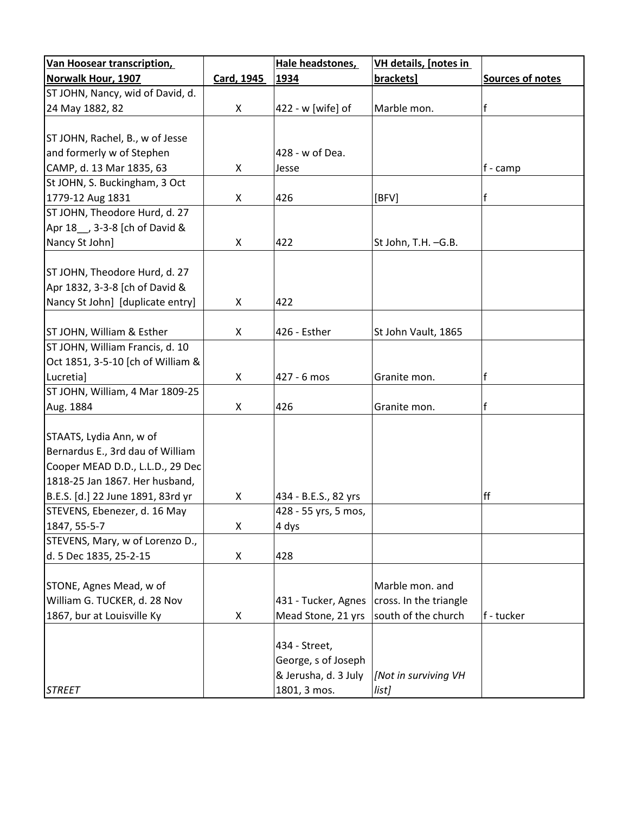| Van Hoosear transcription,        |                   | Hale headstones,     | <b>VH details, [notes in</b> |                  |
|-----------------------------------|-------------------|----------------------|------------------------------|------------------|
| Norwalk Hour, 1907                | <b>Card, 1945</b> | 1934                 | brackets]                    | Sources of notes |
| ST JOHN, Nancy, wid of David, d.  |                   |                      |                              |                  |
| 24 May 1882, 82                   | X                 | 422 - w [wife] of    | Marble mon.                  | f                |
|                                   |                   |                      |                              |                  |
| ST JOHN, Rachel, B., w of Jesse   |                   |                      |                              |                  |
| and formerly w of Stephen         |                   | 428 - w of Dea.      |                              |                  |
| CAMP, d. 13 Mar 1835, 63          | X                 | Jesse                |                              | f - camp         |
| St JOHN, S. Buckingham, 3 Oct     |                   |                      |                              |                  |
| 1779-12 Aug 1831                  | X                 | 426                  | [BFV]                        | f                |
| ST JOHN, Theodore Hurd, d. 27     |                   |                      |                              |                  |
| Apr 18 __ , 3-3-8 [ch of David &  |                   |                      |                              |                  |
| Nancy St John]                    | X                 | 422                  | St John, T.H. -G.B.          |                  |
|                                   |                   |                      |                              |                  |
| ST JOHN, Theodore Hurd, d. 27     |                   |                      |                              |                  |
| Apr 1832, 3-3-8 [ch of David &    |                   |                      |                              |                  |
| Nancy St John] [duplicate entry]  | X                 | 422                  |                              |                  |
|                                   |                   |                      |                              |                  |
| ST JOHN, William & Esther         | X                 | 426 - Esther         | St John Vault, 1865          |                  |
| ST JOHN, William Francis, d. 10   |                   |                      |                              |                  |
| Oct 1851, 3-5-10 [ch of William & |                   |                      |                              |                  |
| Lucretia]                         | X                 | 427 - 6 mos          | Granite mon.                 | f                |
| ST JOHN, William, 4 Mar 1809-25   |                   |                      |                              |                  |
| Aug. 1884                         | X                 | 426                  | Granite mon.                 | f                |
|                                   |                   |                      |                              |                  |
| STAATS, Lydia Ann, w of           |                   |                      |                              |                  |
| Bernardus E., 3rd dau of William  |                   |                      |                              |                  |
| Cooper MEAD D.D., L.L.D., 29 Dec  |                   |                      |                              |                  |
| 1818-25 Jan 1867. Her husband,    |                   |                      |                              |                  |
| B.E.S. [d.] 22 June 1891, 83rd yr | X                 | 434 - B.E.S., 82 yrs |                              | ff               |
| STEVENS, Ebenezer, d. 16 May      |                   | 428 - 55 yrs, 5 mos, |                              |                  |
| 1847, 55-5-7                      | X                 | 4 dys                |                              |                  |
| STEVENS, Mary, w of Lorenzo D.,   |                   |                      |                              |                  |
| d. 5 Dec 1835, 25-2-15            | X                 | 428                  |                              |                  |
|                                   |                   |                      |                              |                  |
| STONE, Agnes Mead, w of           |                   |                      | Marble mon. and              |                  |
| William G. TUCKER, d. 28 Nov      |                   | 431 - Tucker, Agnes  | cross. In the triangle       |                  |
| 1867, bur at Louisville Ky        | X                 | Mead Stone, 21 yrs   | south of the church          | f - tucker       |
|                                   |                   |                      |                              |                  |
|                                   |                   | 434 - Street,        |                              |                  |
|                                   |                   | George, s of Joseph  |                              |                  |
|                                   |                   | & Jerusha, d. 3 July | [Not in surviving VH         |                  |
| <b>STREET</b>                     |                   | 1801, 3 mos.         | list]                        |                  |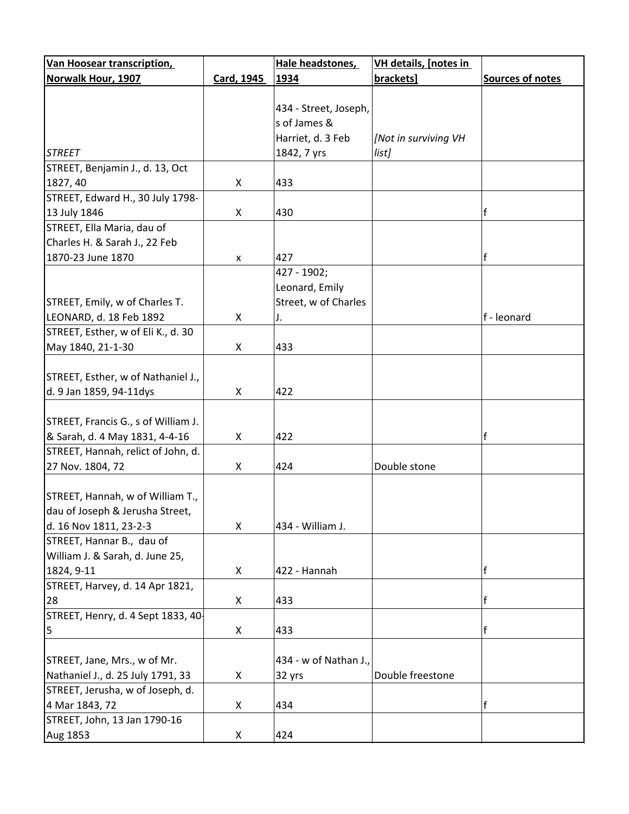| Van Hoosear transcription,          |                   | Hale headstones,      | <b>VH details, [notes in</b> |                  |
|-------------------------------------|-------------------|-----------------------|------------------------------|------------------|
| Norwalk Hour, 1907                  | <b>Card, 1945</b> | 1934                  | brackets]                    | Sources of notes |
|                                     |                   |                       |                              |                  |
|                                     |                   | 434 - Street, Joseph, |                              |                  |
|                                     |                   | s of James &          |                              |                  |
|                                     |                   | Harriet, d. 3 Feb     | [Not in surviving VH         |                  |
| <b>STREET</b>                       |                   | 1842, 7 yrs           | list]                        |                  |
| STREET, Benjamin J., d. 13, Oct     |                   |                       |                              |                  |
| 1827, 40                            | X                 | 433                   |                              |                  |
| STREET, Edward H., 30 July 1798-    |                   |                       |                              |                  |
| 13 July 1846                        | X                 | 430                   |                              | f                |
| STREET, Ella Maria, dau of          |                   |                       |                              |                  |
| Charles H. & Sarah J., 22 Feb       |                   |                       |                              |                  |
| 1870-23 June 1870                   | X                 | 427                   |                              | f                |
|                                     |                   | 427 - 1902;           |                              |                  |
|                                     |                   | Leonard, Emily        |                              |                  |
| STREET, Emily, w of Charles T.      |                   | Street, w of Charles  |                              |                  |
| LEONARD, d. 18 Feb 1892             | X                 | J.                    |                              | f - leonard      |
| STREET, Esther, w of Eli K., d. 30  |                   |                       |                              |                  |
| May 1840, 21-1-30                   | X                 | 433                   |                              |                  |
|                                     |                   |                       |                              |                  |
| STREET, Esther, w of Nathaniel J.,  |                   |                       |                              |                  |
| d. 9 Jan 1859, 94-11dys             | X                 | 422                   |                              |                  |
|                                     |                   |                       |                              |                  |
| STREET, Francis G., s of William J. |                   |                       |                              |                  |
| & Sarah, d. 4 May 1831, 4-4-16      | X                 | 422                   |                              | f                |
| STREET, Hannah, relict of John, d.  |                   |                       |                              |                  |
| 27 Nov. 1804, 72                    | X                 | 424                   | Double stone                 |                  |
|                                     |                   |                       |                              |                  |
| STREET, Hannah, w of William T.,    |                   |                       |                              |                  |
| dau of Joseph & Jerusha Street,     |                   |                       |                              |                  |
| d. 16 Nov 1811, 23-2-3              | X                 | 434 - William J.      |                              |                  |
| STREET, Hannar B., dau of           |                   |                       |                              |                  |
| William J. & Sarah, d. June 25,     |                   |                       |                              |                  |
| 1824, 9-11                          | X                 | 422 - Hannah          |                              | f                |
| STREET, Harvey, d. 14 Apr 1821,     |                   |                       |                              |                  |
| 28                                  | X                 | 433                   |                              | f                |
| STREET, Henry, d. 4 Sept 1833, 40   |                   |                       |                              |                  |
| 5                                   | X                 | 433                   |                              | f                |
|                                     |                   |                       |                              |                  |
| STREET, Jane, Mrs., w of Mr.        |                   | 434 - w of Nathan J., |                              |                  |
| Nathaniel J., d. 25 July 1791, 33   | X                 | 32 yrs                | Double freestone             |                  |
| STREET, Jerusha, w of Joseph, d.    |                   |                       |                              |                  |
| 4 Mar 1843, 72                      | X                 | 434                   |                              | f                |
| STREET, John, 13 Jan 1790-16        |                   |                       |                              |                  |
| Aug 1853                            | X                 | 424                   |                              |                  |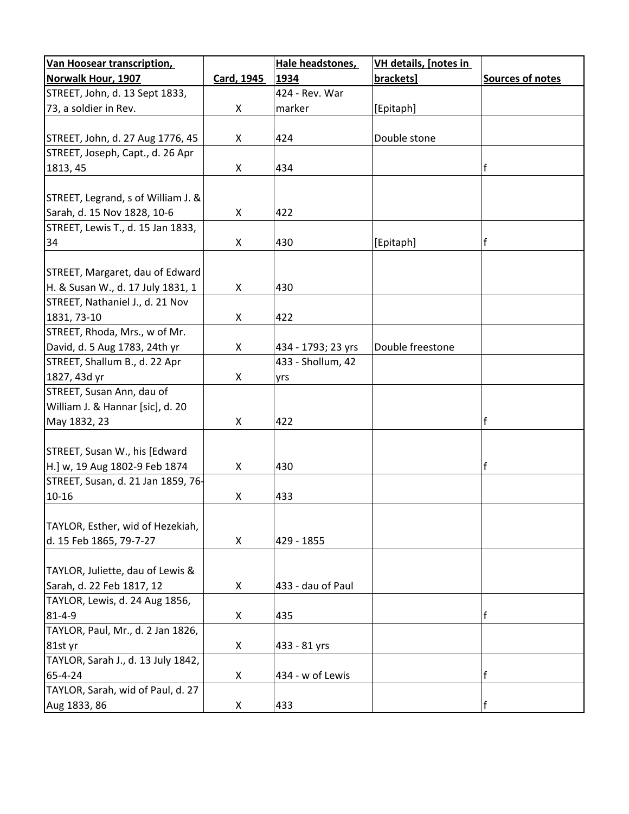| Van Hoosear transcription,         |            | Hale headstones,   | <b>VH details, [notes in</b> |                  |
|------------------------------------|------------|--------------------|------------------------------|------------------|
| <b>Norwalk Hour, 1907</b>          | Card, 1945 | 1934               | brackets]                    | Sources of notes |
| STREET, John, d. 13 Sept 1833,     |            | 424 - Rev. War     |                              |                  |
| 73, a soldier in Rev.              | X          | marker             | [Epitaph]                    |                  |
|                                    |            |                    |                              |                  |
| STREET, John, d. 27 Aug 1776, 45   | X          | 424                | Double stone                 |                  |
| STREET, Joseph, Capt., d. 26 Apr   |            |                    |                              |                  |
| 1813, 45                           | X          | 434                |                              | f                |
|                                    |            |                    |                              |                  |
| STREET, Legrand, s of William J. & |            |                    |                              |                  |
| Sarah, d. 15 Nov 1828, 10-6        | X          | 422                |                              |                  |
| STREET, Lewis T., d. 15 Jan 1833,  |            |                    |                              |                  |
| 34                                 | X          | 430                | [Epitaph]                    | f                |
|                                    |            |                    |                              |                  |
| STREET, Margaret, dau of Edward    |            |                    |                              |                  |
| H. & Susan W., d. 17 July 1831, 1  | X          | 430                |                              |                  |
| STREET, Nathaniel J., d. 21 Nov    |            |                    |                              |                  |
| 1831, 73-10                        | X          | 422                |                              |                  |
| STREET, Rhoda, Mrs., w of Mr.      |            |                    |                              |                  |
| David, d. 5 Aug 1783, 24th yr      | X          | 434 - 1793; 23 yrs | Double freestone             |                  |
| STREET, Shallum B., d. 22 Apr      |            | 433 - Shollum, 42  |                              |                  |
| 1827, 43d yr                       | X          | yrs                |                              |                  |
| STREET, Susan Ann, dau of          |            |                    |                              |                  |
| William J. & Hannar [sic], d. 20   |            |                    |                              |                  |
| May 1832, 23                       | X          | 422                |                              | f                |
|                                    |            |                    |                              |                  |
| STREET, Susan W., his [Edward      |            |                    |                              |                  |
| H.] w, 19 Aug 1802-9 Feb 1874      | X          | 430                |                              | $\mathsf{f}$     |
| STREET, Susan, d. 21 Jan 1859, 76- |            |                    |                              |                  |
| $10 - 16$                          | X          | 433                |                              |                  |
|                                    |            |                    |                              |                  |
| TAYLOR, Esther, wid of Hezekiah,   |            |                    |                              |                  |
| d. 15 Feb 1865, 79-7-27            | X          | 429 - 1855         |                              |                  |
|                                    |            |                    |                              |                  |
| TAYLOR, Juliette, dau of Lewis &   |            |                    |                              |                  |
| Sarah, d. 22 Feb 1817, 12          | X          | 433 - dau of Paul  |                              |                  |
| TAYLOR, Lewis, d. 24 Aug 1856,     |            |                    |                              |                  |
| $81 - 4 - 9$                       | X          | 435                |                              | f                |
| TAYLOR, Paul, Mr., d. 2 Jan 1826,  |            |                    |                              |                  |
| 81st yr                            | X          | 433 - 81 yrs       |                              |                  |
| TAYLOR, Sarah J., d. 13 July 1842, |            |                    |                              |                  |
| 65-4-24                            | X          | 434 - w of Lewis   |                              | f                |
| TAYLOR, Sarah, wid of Paul, d. 27  |            |                    |                              |                  |
| Aug 1833, 86                       | X          | 433                |                              | f                |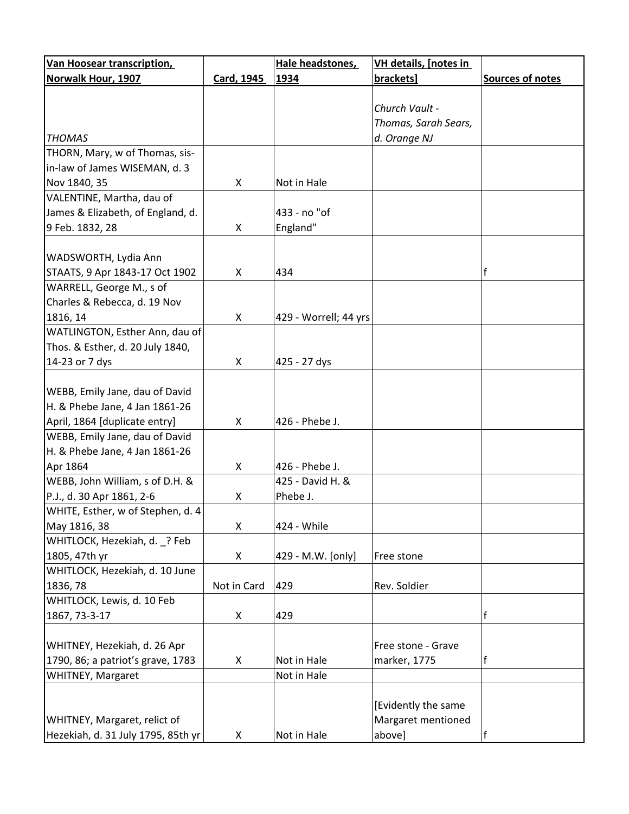| <b>Van Hoosear transcription,</b>  |                   | Hale headstones,      | <b>VH details, [notes in</b> |                  |
|------------------------------------|-------------------|-----------------------|------------------------------|------------------|
| <b>Norwalk Hour, 1907</b>          | <b>Card, 1945</b> | 1934                  | brackets]                    | Sources of notes |
|                                    |                   |                       |                              |                  |
|                                    |                   |                       | Church Vault -               |                  |
|                                    |                   |                       | Thomas, Sarah Sears,         |                  |
| <b>THOMAS</b>                      |                   |                       | d. Orange NJ                 |                  |
| THORN, Mary, w of Thomas, sis-     |                   |                       |                              |                  |
| in-law of James WISEMAN, d. 3      |                   |                       |                              |                  |
| Nov 1840, 35                       | X                 | Not in Hale           |                              |                  |
| VALENTINE, Martha, dau of          |                   |                       |                              |                  |
| James & Elizabeth, of England, d.  |                   | 433 - no "of          |                              |                  |
| 9 Feb. 1832, 28                    | X                 | England"              |                              |                  |
|                                    |                   |                       |                              |                  |
| WADSWORTH, Lydia Ann               |                   |                       |                              |                  |
| STAATS, 9 Apr 1843-17 Oct 1902     | X                 | 434                   |                              | f                |
| WARRELL, George M., s of           |                   |                       |                              |                  |
| Charles & Rebecca, d. 19 Nov       |                   |                       |                              |                  |
| 1816, 14                           | X                 | 429 - Worrell; 44 yrs |                              |                  |
| WATLINGTON, Esther Ann, dau of     |                   |                       |                              |                  |
| Thos. & Esther, d. 20 July 1840,   |                   |                       |                              |                  |
| 14-23 or 7 dys                     | X                 | 425 - 27 dys          |                              |                  |
|                                    |                   |                       |                              |                  |
| WEBB, Emily Jane, dau of David     |                   |                       |                              |                  |
|                                    |                   |                       |                              |                  |
| H. & Phebe Jane, 4 Jan 1861-26     |                   |                       |                              |                  |
| April, 1864 [duplicate entry]      | X                 | 426 - Phebe J.        |                              |                  |
| WEBB, Emily Jane, dau of David     |                   |                       |                              |                  |
| H. & Phebe Jane, 4 Jan 1861-26     |                   |                       |                              |                  |
| Apr 1864                           | X                 | 426 - Phebe J.        |                              |                  |
| WEBB, John William, s of D.H. &    |                   | 425 - David H. &      |                              |                  |
| P.J., d. 30 Apr 1861, 2-6          | X                 | Phebe J.              |                              |                  |
| WHITE, Esther, w of Stephen, d. 4  |                   |                       |                              |                  |
| May 1816, 38                       | X                 | 424 - While           |                              |                  |
| WHITLOCK, Hezekiah, d. _? Feb      |                   |                       |                              |                  |
| 1805, 47th yr                      | X                 | 429 - M.W. [only]     | Free stone                   |                  |
| WHITLOCK, Hezekiah, d. 10 June     |                   |                       |                              |                  |
| 1836, 78                           | Not in Card       | 429                   | Rev. Soldier                 |                  |
| WHITLOCK, Lewis, d. 10 Feb         |                   |                       |                              |                  |
| 1867, 73-3-17                      | X                 | 429                   |                              | f                |
|                                    |                   |                       |                              |                  |
| WHITNEY, Hezekiah, d. 26 Apr       |                   |                       | Free stone - Grave           |                  |
| 1790, 86; a patriot's grave, 1783  | X                 | Not in Hale           | marker, 1775                 | f                |
| WHITNEY, Margaret                  |                   | Not in Hale           |                              |                  |
|                                    |                   |                       |                              |                  |
|                                    |                   |                       | [Evidently the same          |                  |
| WHITNEY, Margaret, relict of       |                   |                       | Margaret mentioned           |                  |
| Hezekiah, d. 31 July 1795, 85th yr | X                 | Not in Hale           | above]                       |                  |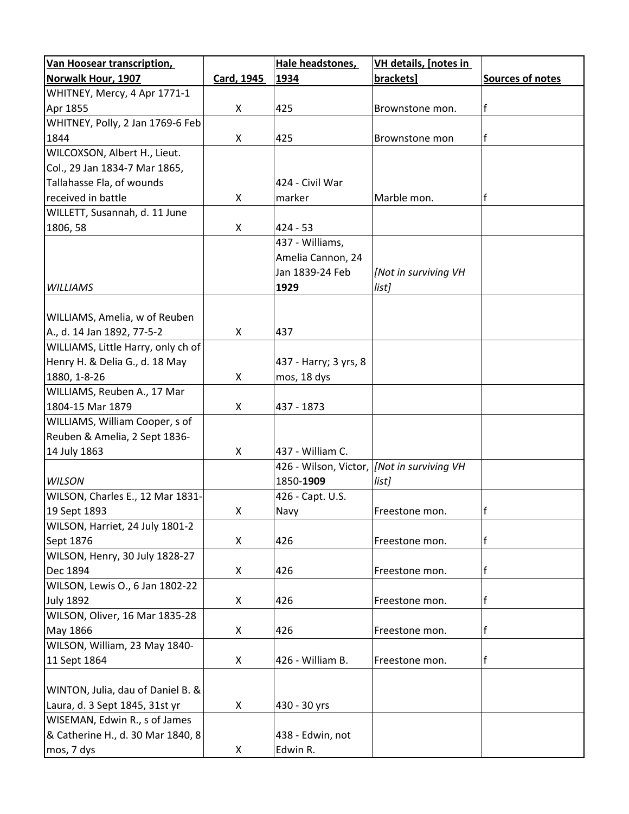| <b>Van Hoosear transcription,</b>  |            | Hale headstones,                             | <b>VH details, [notes in</b> |                  |
|------------------------------------|------------|----------------------------------------------|------------------------------|------------------|
| Norwalk Hour, 1907                 | Card, 1945 | 1934                                         | brackets]                    | Sources of notes |
| WHITNEY, Mercy, 4 Apr 1771-1       |            |                                              |                              |                  |
| Apr 1855                           | X          | 425                                          | Brownstone mon.              | f                |
| WHITNEY, Polly, 2 Jan 1769-6 Feb   |            |                                              |                              |                  |
| 1844                               | X          | 425                                          | Brownstone mon               | f                |
| WILCOXSON, Albert H., Lieut.       |            |                                              |                              |                  |
| Col., 29 Jan 1834-7 Mar 1865,      |            |                                              |                              |                  |
| Tallahasse Fla, of wounds          |            | 424 - Civil War                              |                              |                  |
| received in battle                 | X          | marker                                       | Marble mon.                  | f                |
| WILLETT, Susannah, d. 11 June      |            |                                              |                              |                  |
| 1806, 58                           | X          | $424 - 53$                                   |                              |                  |
|                                    |            | 437 - Williams,                              |                              |                  |
|                                    |            | Amelia Cannon, 24                            |                              |                  |
|                                    |            | Jan 1839-24 Feb                              | [Not in surviving VH         |                  |
| <b>WILLIAMS</b>                    |            | 1929                                         | list]                        |                  |
|                                    |            |                                              |                              |                  |
| WILLIAMS, Amelia, w of Reuben      |            |                                              |                              |                  |
| A., d. 14 Jan 1892, 77-5-2         | X          | 437                                          |                              |                  |
| WILLIAMS, Little Harry, only ch of |            |                                              |                              |                  |
| Henry H. & Delia G., d. 18 May     |            | 437 - Harry; 3 yrs, 8                        |                              |                  |
| 1880, 1-8-26                       | X          | mos, 18 dys                                  |                              |                  |
| WILLIAMS, Reuben A., 17 Mar        |            |                                              |                              |                  |
| 1804-15 Mar 1879                   | X          | 437 - 1873                                   |                              |                  |
| WILLIAMS, William Cooper, s of     |            |                                              |                              |                  |
| Reuben & Amelia, 2 Sept 1836-      |            |                                              |                              |                  |
| 14 July 1863                       | X          | 437 - William C.                             |                              |                  |
|                                    |            | 426 - Wilson, Victor,   [Not in surviving VH |                              |                  |
| <b>WILSON</b>                      |            | 1850-1909                                    | list]                        |                  |
| WILSON, Charles E., 12 Mar 1831-   |            | 426 - Capt. U.S.                             |                              |                  |
| 19 Sept 1893                       | X          | Navy                                         | Freestone mon.               | f                |
| WILSON, Harriet, 24 July 1801-2    |            |                                              |                              |                  |
| Sept 1876                          | X          | 426                                          | Freestone mon.               | f                |
| WILSON, Henry, 30 July 1828-27     |            |                                              |                              |                  |
| Dec 1894                           | X          | 426                                          | Freestone mon.               | f                |
| WILSON, Lewis O., 6 Jan 1802-22    |            |                                              |                              |                  |
| <b>July 1892</b>                   | X          | 426                                          | Freestone mon.               | f                |
| WILSON, Oliver, 16 Mar 1835-28     |            |                                              |                              |                  |
| May 1866                           | X          | 426                                          | Freestone mon.               | f                |
| WILSON, William, 23 May 1840-      |            |                                              |                              |                  |
| 11 Sept 1864                       | X          | 426 - William B.                             | Freestone mon.               | f                |
|                                    |            |                                              |                              |                  |
| WINTON, Julia, dau of Daniel B. &  |            |                                              |                              |                  |
| Laura, d. 3 Sept 1845, 31st yr     | X          | 430 - 30 yrs                                 |                              |                  |
| WISEMAN, Edwin R., s of James      |            |                                              |                              |                  |
| & Catherine H., d. 30 Mar 1840, 8  |            | 438 - Edwin, not                             |                              |                  |
| mos, 7 dys                         | X          | Edwin R.                                     |                              |                  |